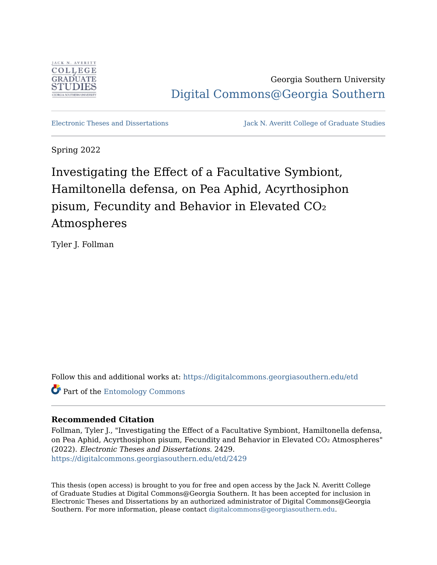

Georgia Southern University [Digital Commons@Georgia Southern](https://digitalcommons.georgiasouthern.edu/) 

[Electronic Theses and Dissertations](https://digitalcommons.georgiasouthern.edu/etd) Jack N. Averitt College of Graduate Studies

Spring 2022

Investigating the Effect of a Facultative Symbiont, Hamiltonella defensa, on Pea Aphid, Acyrthosiphon pisum, Fecundity and Behavior in Elevated CO₂ Atmospheres

Tyler J. Follman

Follow this and additional works at: [https://digitalcommons.georgiasouthern.edu/etd](https://digitalcommons.georgiasouthern.edu/etd?utm_source=digitalcommons.georgiasouthern.edu%2Fetd%2F2429&utm_medium=PDF&utm_campaign=PDFCoverPages) 

Part of the [Entomology Commons](https://network.bepress.com/hgg/discipline/83?utm_source=digitalcommons.georgiasouthern.edu%2Fetd%2F2429&utm_medium=PDF&utm_campaign=PDFCoverPages)

## **Recommended Citation**

Follman, Tyler J., "Investigating the Effect of a Facultative Symbiont, Hamiltonella defensa, on Pea Aphid, Acyrthosiphon pisum, Fecundity and Behavior in Elevated CO<sub>2</sub> Atmospheres" (2022). Electronic Theses and Dissertations. 2429. [https://digitalcommons.georgiasouthern.edu/etd/2429](https://digitalcommons.georgiasouthern.edu/etd/2429?utm_source=digitalcommons.georgiasouthern.edu%2Fetd%2F2429&utm_medium=PDF&utm_campaign=PDFCoverPages) 

This thesis (open access) is brought to you for free and open access by the Jack N. Averitt College of Graduate Studies at Digital Commons@Georgia Southern. It has been accepted for inclusion in Electronic Theses and Dissertations by an authorized administrator of Digital Commons@Georgia Southern. For more information, please contact [digitalcommons@georgiasouthern.edu](mailto:digitalcommons@georgiasouthern.edu).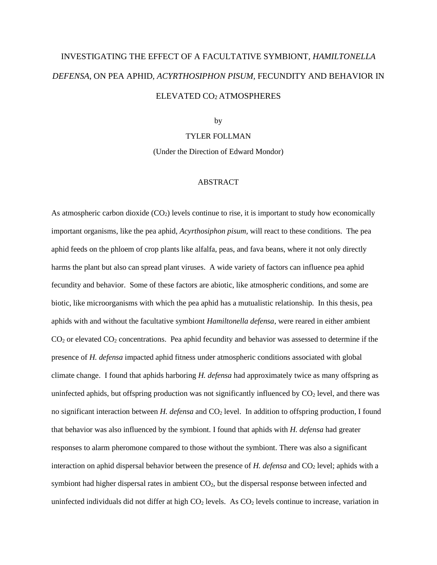# INVESTIGATING THE EFFECT OF A FACULTATIVE SYMBIONT, *HAMILTONELLA DEFENSA*, ON PEA APHID, *ACYRTHOSIPHON PISUM,* FECUNDITY AND BEHAVIOR IN ELEVATED CO<sup>2</sup> ATMOSPHERES

by

#### TYLER FOLLMAN

(Under the Direction of Edward Mondor)

#### ABSTRACT

As atmospheric carbon dioxide  $(CO<sub>2</sub>)$  levels continue to rise, it is important to study how economically important organisms, like the pea aphid, *Acyrthosiphon pisum,* will react to these conditions. The pea aphid feeds on the phloem of crop plants like alfalfa, peas, and fava beans, where it not only directly harms the plant but also can spread plant viruses. A wide variety of factors can influence pea aphid fecundity and behavior. Some of these factors are abiotic, like atmospheric conditions, and some are biotic, like microorganisms with which the pea aphid has a mutualistic relationship. In this thesis, pea aphids with and without the facultative symbiont *Hamiltonella defensa*, were reared in either ambient  $CO<sub>2</sub>$  or elevated  $CO<sub>2</sub>$  concentrations. Pea aphid fecundity and behavior was assessed to determine if the presence of *H. defensa* impacted aphid fitness under atmospheric conditions associated with global climate change. I found that aphids harboring *H. defensa* had approximately twice as many offspring as uninfected aphids, but offspring production was not significantly influenced by  $CO<sub>2</sub>$  level, and there was no significant interaction between *H. defensa* and CO<sub>2</sub> level. In addition to offspring production, I found that behavior was also influenced by the symbiont. I found that aphids with *H. defensa* had greater responses to alarm pheromone compared to those without the symbiont. There was also a significant interaction on aphid dispersal behavior between the presence of *H. defensa* and CO<sub>2</sub> level; aphids with a symbiont had higher dispersal rates in ambient  $CO<sub>2</sub>$ , but the dispersal response between infected and uninfected individuals did not differ at high  $CO<sub>2</sub>$  levels. As  $CO<sub>2</sub>$  levels continue to increase, variation in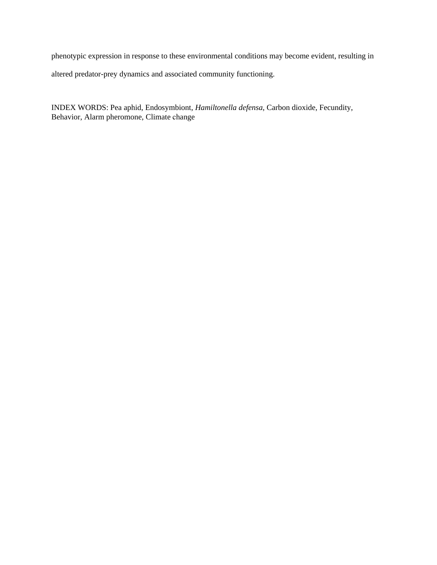phenotypic expression in response to these environmental conditions may become evident, resulting in altered predator-prey dynamics and associated community functioning.

INDEX WORDS: Pea aphid, Endosymbiont, *Hamiltonella defensa*, Carbon dioxide, Fecundity, Behavior, Alarm pheromone, Climate change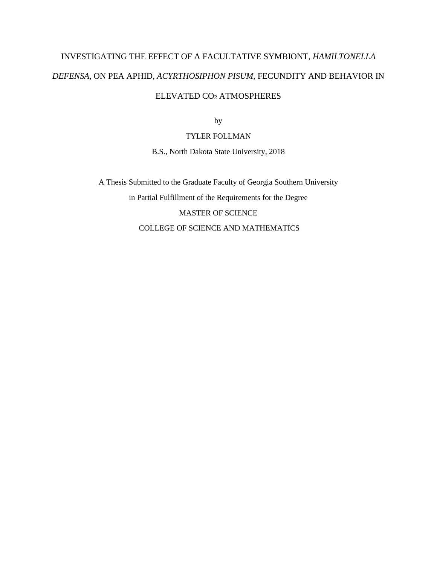# INVESTIGATING THE EFFECT OF A FACULTATIVE SYMBIONT, *HAMILTONELLA DEFENSA*, ON PEA APHID, *ACYRTHOSIPHON PISUM*, FECUNDITY AND BEHAVIOR IN ELEVATED CO<sup>2</sup> ATMOSPHERES

by

TYLER FOLLMAN

B.S., North Dakota State University, 2018

A Thesis Submitted to the Graduate Faculty of Georgia Southern University in Partial Fulfillment of the Requirements for the Degree MASTER OF SCIENCE COLLEGE OF SCIENCE AND MATHEMATICS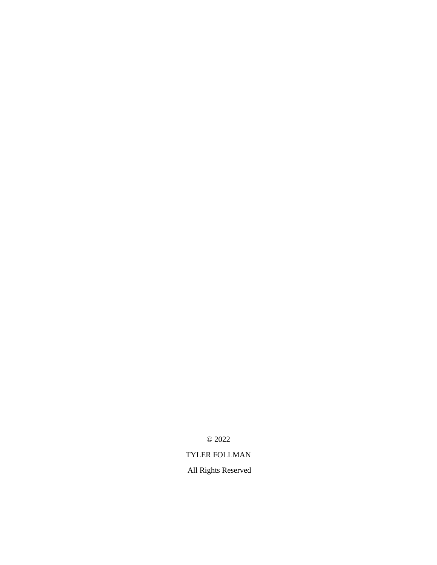© 2022

## TYLER FOLLMAN

All Rights Reserved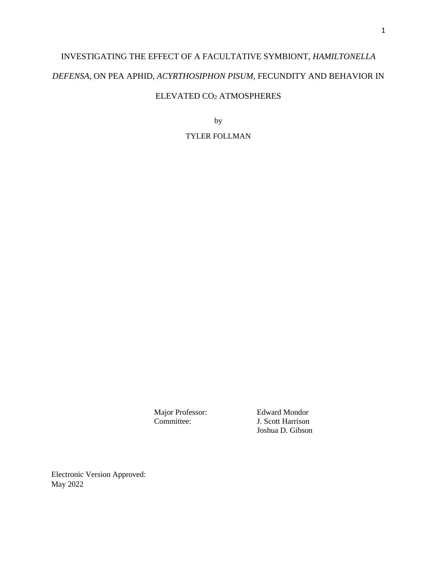# INVESTIGATING THE EFFECT OF A FACULTATIVE SYMBIONT, *HAMILTONELLA DEFENSA*, ON PEA APHID, *ACYRTHOSIPHON PISUM*, FECUNDITY AND BEHAVIOR IN ELEVATED CO<sup>2</sup> ATMOSPHERES

by

TYLER FOLLMAN

Major Professor: Edward Mondor<br>
Committee: J. Scott Harrison J. Scott Harrison Joshua D. Gibson

Electronic Version Approved: May 2022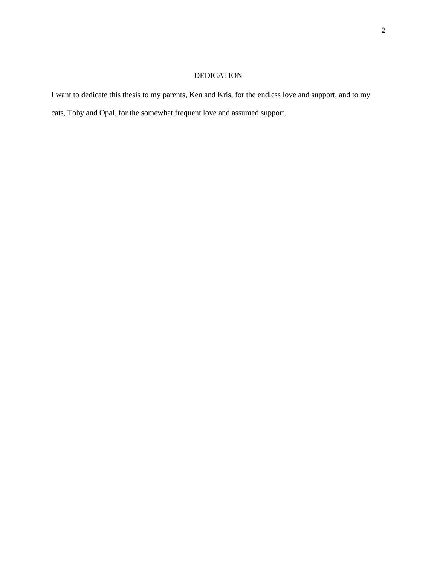# DEDICATION

I want to dedicate this thesis to my parents, Ken and Kris, for the endless love and support, and to my cats, Toby and Opal, for the somewhat frequent love and assumed support.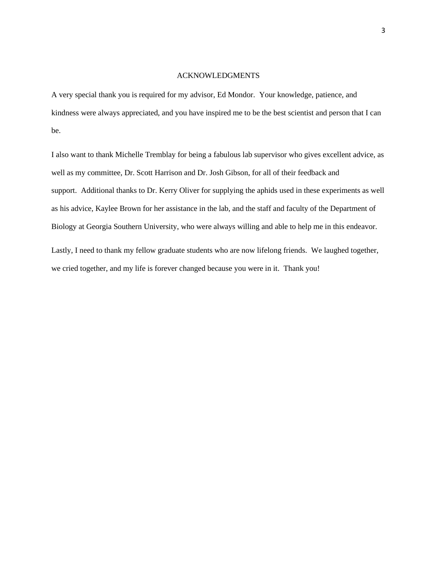#### ACKNOWLEDGMENTS

A very special thank you is required for my advisor, Ed Mondor. Your knowledge, patience, and kindness were always appreciated, and you have inspired me to be the best scientist and person that I can be.

I also want to thank Michelle Tremblay for being a fabulous lab supervisor who gives excellent advice, as well as my committee, Dr. Scott Harrison and Dr. Josh Gibson, for all of their feedback and support. Additional thanks to Dr. Kerry Oliver for supplying the aphids used in these experiments as well as his advice, Kaylee Brown for her assistance in the lab, and the staff and faculty of the Department of Biology at Georgia Southern University, who were always willing and able to help me in this endeavor.

Lastly, I need to thank my fellow graduate students who are now lifelong friends. We laughed together, we cried together, and my life is forever changed because you were in it. Thank you!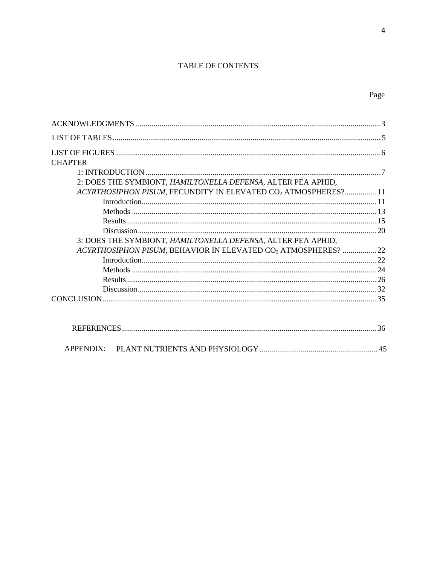#### TABLE OF CONTENTS

# Page

| <b>CHAPTER</b>                                                             |  |
|----------------------------------------------------------------------------|--|
|                                                                            |  |
| 2: DOES THE SYMBIONT, HAMILTONELLA DEFENSA, ALTER PEA APHID,               |  |
| ACYRTHOSIPHON PISUM, FECUNDITY IN ELEVATED CO <sub>2</sub> ATMOSPHERES? 11 |  |
|                                                                            |  |
|                                                                            |  |
|                                                                            |  |
|                                                                            |  |
| 3: DOES THE SYMBIONT, HAMILTONELLA DEFENSA, ALTER PEA APHID,               |  |
| ACYRTHOSIPHON PISUM, BEHAVIOR IN ELEVATED CO2 ATMOSPHERES?  22             |  |
|                                                                            |  |
|                                                                            |  |
|                                                                            |  |
|                                                                            |  |
|                                                                            |  |
|                                                                            |  |
|                                                                            |  |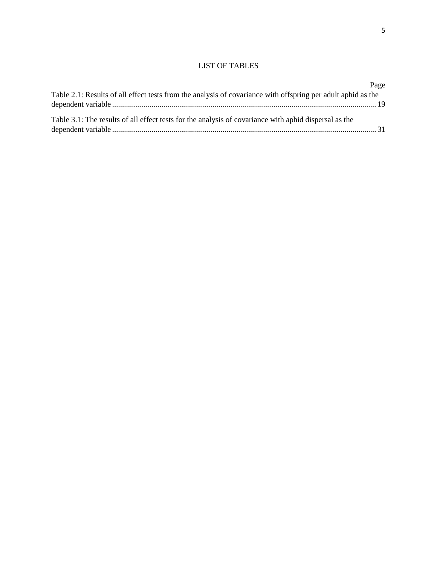#### LIST OF TABLES

|                                                                                                              | Page |
|--------------------------------------------------------------------------------------------------------------|------|
| Table 2.1: Results of all effect tests from the analysis of covariance with offspring per adult aphid as the |      |
|                                                                                                              |      |
| Table 3.1: The results of all effect tests for the analysis of covariance with aphid dispersal as the        |      |
|                                                                                                              |      |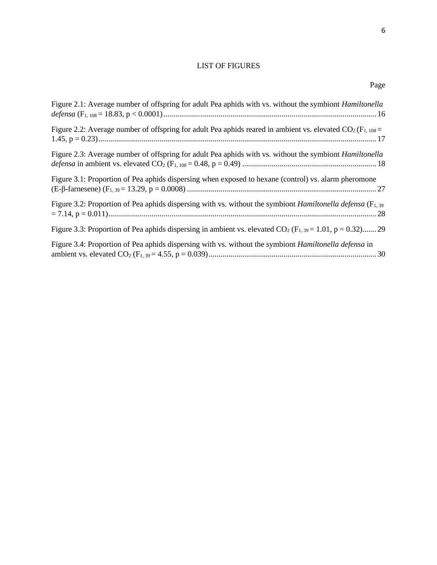# LIST OF FIGURES

| Figure 2.1: Average number of offspring for adult Pea aphids with vs. without the symbiont <i>Hamiltonella</i>           |
|--------------------------------------------------------------------------------------------------------------------------|
| Figure 2.2: Average number of offspring for adult Pea aphids reared in ambient vs. elevated $CO2$ (F <sub>1, 108</sub> = |
| Figure 2.3: Average number of offspring for adult Pea aphids with vs. without the symbiont <i>Hamiltonella</i>           |
| Figure 3.1: Proportion of Pea aphids dispersing when exposed to hexane (control) vs. alarm pheromone                     |
| Figure 3.2: Proportion of Pea aphids dispersing with vs. without the symbiont <i>Hamiltonella defensa</i> ( $F_{1,39}$ ) |
| Figure 3.3: Proportion of Pea aphids dispersing in ambient vs. elevated $CO_2$ (F <sub>1,39</sub> = 1.01, p = 0.32) 29   |
| Figure 3.4: Proportion of Pea aphids dispersing with vs. without the symbiont <i>Hamiltonella defensa</i> in             |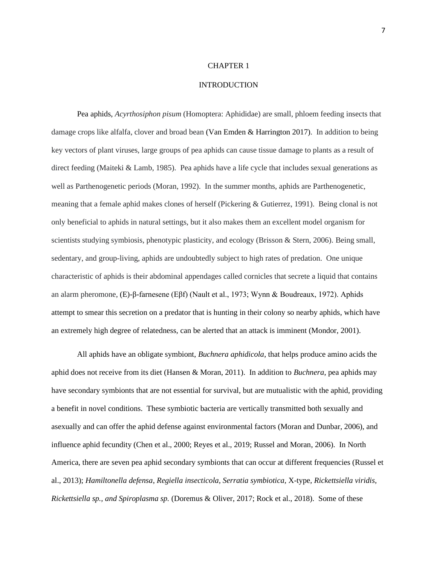#### CHAPTER 1

#### INTRODUCTION

Pea aphids, *Acyrthosiphon pisum* (Homoptera: Aphididae) are small, phloem feeding insects that damage crops like alfalfa, clover and broad bean (Van Emden & Harrington 2017). In addition to being key vectors of plant viruses, large groups of pea aphids can cause tissue damage to plants as a result of direct feeding (Maiteki & Lamb, 1985). Pea aphids have a life cycle that includes sexual generations as well as Parthenogenetic periods (Moran, 1992). In the summer months, aphids are Parthenogenetic, meaning that a female aphid makes clones of herself (Pickering & Gutierrez, 1991). Being clonal is not only beneficial to aphids in natural settings, but it also makes them an excellent model organism for scientists studying symbiosis, phenotypic plasticity, and ecology (Brisson & Stern, 2006). Being small, sedentary, and group-living, aphids are undoubtedly subject to high rates of predation. One unique characteristic of aphids is their abdominal appendages called cornicles that secrete a liquid that contains an alarm pheromone, (E)-β-farnesene (Eβf) (Nault et al., 1973; Wynn & Boudreaux, 1972). Aphids attempt to smear this secretion on a predator that is hunting in their colony so nearby aphids, which have an extremely high degree of relatedness, can be alerted that an attack is imminent (Mondor, 2001).

All aphids have an obligate symbiont, *Buchnera aphidicola*, that helps produce amino acids the aphid does not receive from its diet (Hansen & Moran, 2011). In addition to *Buchnera*, pea aphids may have secondary symbionts that are not essential for survival, but are mutualistic with the aphid, providing a benefit in novel conditions. These symbiotic bacteria are vertically transmitted both sexually and asexually and can offer the aphid defense against environmental factors (Moran and Dunbar, 2006), and influence aphid fecundity (Chen et al., 2000; Reyes et al., 2019; Russel and Moran, 2006). In North America, there are seven pea aphid secondary symbionts that can occur at different frequencies (Russel et al., 2013); *Hamiltonella defensa*, *Regiella insecticola, Serratia symbiotica,* X-type*, Rickettsiella viridis, Rickettsiella sp., and Spiroplasma sp.* (Doremus & Oliver, 2017; Rock et al., 2018). Some of these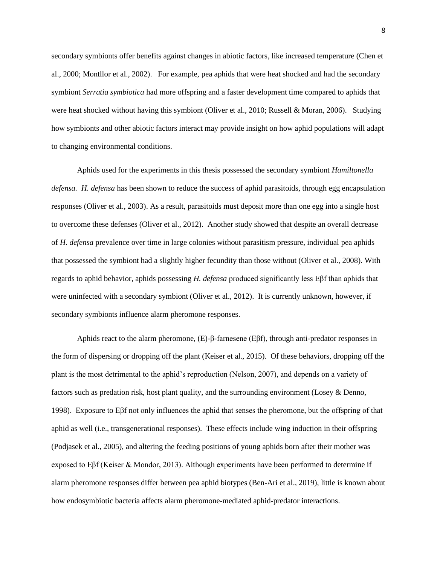secondary symbionts offer benefits against changes in abiotic factors, like increased temperature (Chen et al., 2000; Montllor et al., 2002). For example, pea aphids that were heat shocked and had the secondary symbiont *Serratia symbiotica* had more offspring and a faster development time compared to aphids that were heat shocked without having this symbiont (Oliver et al., 2010; Russell & Moran, 2006). Studying how symbionts and other abiotic factors interact may provide insight on how aphid populations will adapt to changing environmental conditions.

Aphids used for the experiments in this thesis possessed the secondary symbiont *Hamiltonella defensa. H. defensa* has been shown to reduce the success of aphid parasitoids, through egg encapsulation responses (Oliver et al., 2003). As a result, parasitoids must deposit more than one egg into a single host to overcome these defenses (Oliver et al., 2012). Another study showed that despite an overall decrease of *H. defensa* prevalence over time in large colonies without parasitism pressure, individual pea aphids that possessed the symbiont had a slightly higher fecundity than those without (Oliver et al., 2008). With regards to aphid behavior, aphids possessing *H. defensa* produced significantly less Eβf than aphids that were uninfected with a secondary symbiont (Oliver et al., 2012). It is currently unknown, however, if secondary symbionts influence alarm pheromone responses.

Aphids react to the alarm pheromone, (E)-β-farnesene (Eβf), through anti-predator responses in the form of dispersing or dropping off the plant (Keiser et al., 2015). Of these behaviors, dropping off the plant is the most detrimental to the aphid's reproduction (Nelson, 2007), and depends on a variety of factors such as predation risk, host plant quality, and the surrounding environment (Losey & Denno, 1998). Exposure to Eβf not only influences the aphid that senses the pheromone, but the offspring of that aphid as well (i.e., transgenerational responses). These effects include wing induction in their offspring (Podjasek et al., 2005), and altering the feeding positions of young aphids born after their mother was exposed to Eβf (Keiser & Mondor, 2013). Although experiments have been performed to determine if alarm pheromone responses differ between pea aphid biotypes (Ben-Ari et al., 2019), little is known about how endosymbiotic bacteria affects alarm pheromone-mediated aphid-predator interactions.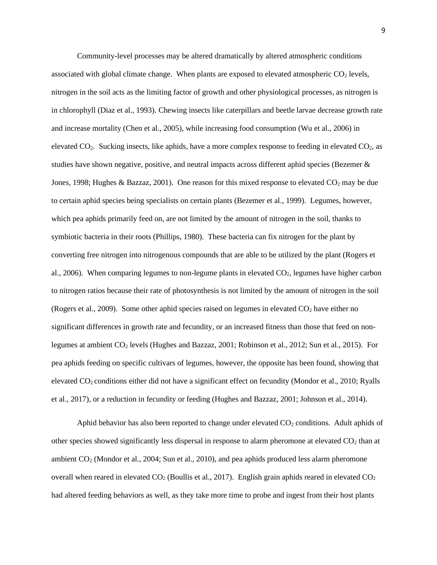Community-level processes may be altered dramatically by altered atmospheric conditions associated with global climate change. When plants are exposed to elevated atmospheric  $CO<sub>2</sub>$  levels, nitrogen in the soil acts as the limiting factor of growth and other physiological processes, as nitrogen is in chlorophyll (Diaz et al., 1993). Chewing insects like caterpillars and beetle larvae decrease growth rate and increase mortality (Chen et al., 2005), while increasing food consumption (Wu et al., 2006) in elevated CO2. Sucking insects, like aphids, have a more complex response to feeding in elevated CO2, as studies have shown negative, positive, and neutral impacts across different aphid species (Bezemer & Jones, 1998; Hughes & Bazzaz, 2001). One reason for this mixed response to elevated  $CO_2$  may be due to certain aphid species being specialists on certain plants (Bezemer et al., 1999). Legumes, however, which pea aphids primarily feed on, are not limited by the amount of nitrogen in the soil, thanks to symbiotic bacteria in their roots (Phillips, 1980). These bacteria can fix nitrogen for the plant by converting free nitrogen into nitrogenous compounds that are able to be utilized by the plant (Rogers et al., 2006). When comparing legumes to non-legume plants in elevated CO2, legumes have higher carbon to nitrogen ratios because their rate of photosynthesis is not limited by the amount of nitrogen in the soil (Rogers et al., 2009). Some other aphid species raised on legumes in elevated  $CO<sub>2</sub>$  have either no significant differences in growth rate and fecundity, or an increased fitness than those that feed on nonlegumes at ambient CO<sub>2</sub> levels (Hughes and Bazzaz, 2001; Robinson et al., 2012; Sun et al., 2015). For pea aphids feeding on specific cultivars of legumes, however, the opposite has been found, showing that elevated CO2 conditions either did not have a significant effect on fecundity (Mondor et al., 2010; Ryalls et al., 2017), or a reduction in fecundity or feeding (Hughes and Bazzaz, 2001; Johnson et al., 2014).

Aphid behavior has also been reported to change under elevated  $CO<sub>2</sub>$  conditions. Adult aphids of other species showed significantly less dispersal in response to alarm pheromone at elevated  $CO<sub>2</sub>$  than at ambient CO<sub>2</sub> (Mondor et al., 2004; Sun et al., 2010), and pea aphids produced less alarm pheromone overall when reared in elevated  $CO<sub>2</sub>$  (Boullis et al., 2017). English grain aphids reared in elevated  $CO<sub>2</sub>$ had altered feeding behaviors as well, as they take more time to probe and ingest from their host plants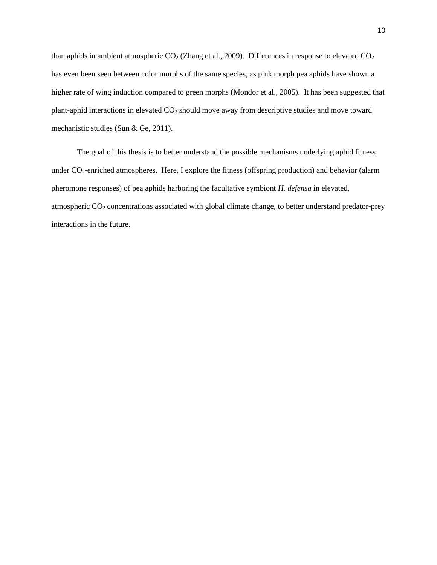than aphids in ambient atmospheric  $CO<sub>2</sub>$  (Zhang et al., 2009). Differences in response to elevated  $CO<sub>2</sub>$ has even been seen between color morphs of the same species, as pink morph pea aphids have shown a higher rate of wing induction compared to green morphs (Mondor et al., 2005). It has been suggested that plant-aphid interactions in elevated CO<sup>2</sup> should move away from descriptive studies and move toward mechanistic studies (Sun & Ge, 2011).

The goal of this thesis is to better understand the possible mechanisms underlying aphid fitness under CO<sub>2</sub>-enriched atmospheres. Here, I explore the fitness (offspring production) and behavior (alarm pheromone responses) of pea aphids harboring the facultative symbiont *H. defensa* in elevated, atmospheric CO<sup>2</sup> concentrations associated with global climate change, to better understand predator-prey interactions in the future.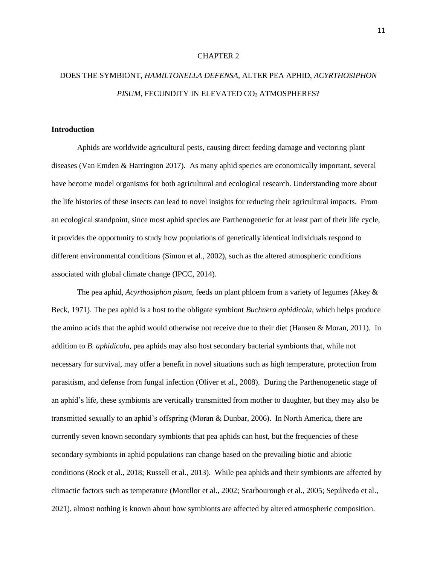#### CHAPTER 2

# DOES THE SYMBIONT, *HAMILTONELLA DEFENSA*, ALTER PEA APHID, *ACYRTHOSIPHON*  PISUM, FECUNDITY IN ELEVATED CO<sub>2</sub> ATMOSPHERES?

#### **Introduction**

Aphids are worldwide agricultural pests, causing direct feeding damage and vectoring plant diseases (Van Emden & Harrington 2017). As many aphid species are economically important, several have become model organisms for both agricultural and ecological research. Understanding more about the life histories of these insects can lead to novel insights for reducing their agricultural impacts. From an ecological standpoint, since most aphid species are Parthenogenetic for at least part of their life cycle, it provides the opportunity to study how populations of genetically identical individuals respond to different environmental conditions (Simon et al., 2002), such as the altered atmospheric conditions associated with global climate change (IPCC, 2014).

The pea aphid, *Acyrthosiphon pisum*, feeds on plant phloem from a variety of legumes (Akey & Beck, 1971). The pea aphid is a host to the obligate symbiont *Buchnera aphidicola*, which helps produce the amino acids that the aphid would otherwise not receive due to their diet (Hansen & Moran, 2011). In addition to *B. aphidicola*, pea aphids may also host secondary bacterial symbionts that, while not necessary for survival, may offer a benefit in novel situations such as high temperature, protection from parasitism, and defense from fungal infection (Oliver et al., 2008). During the Parthenogenetic stage of an aphid's life, these symbionts are vertically transmitted from mother to daughter, but they may also be transmitted sexually to an aphid's offspring (Moran & Dunbar, 2006). In North America, there are currently seven known secondary symbionts that pea aphids can host, but the frequencies of these secondary symbionts in aphid populations can change based on the prevailing biotic and abiotic conditions (Rock et al., 2018; Russell et al., 2013). While pea aphids and their symbionts are affected by climactic factors such as temperature (Montllor et al., 2002; Scarbourough et al., 2005; Sepúlveda et al., 2021), almost nothing is known about how symbionts are affected by altered atmospheric composition.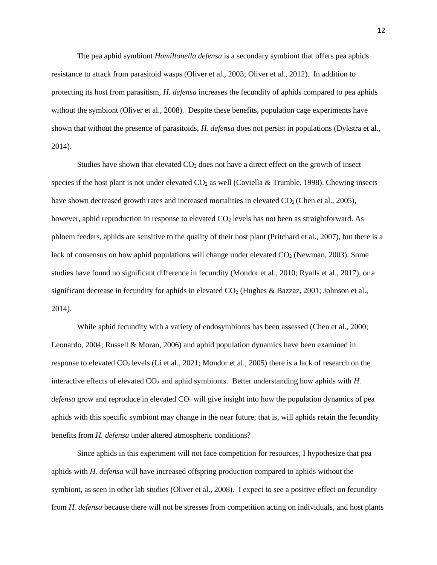The pea aphid symbiont *Hamiltonella defensa* is a secondary symbiont that offers pea aphids resistance to attack from parasitoid wasps (Oliver et al., 2003; Oliver et al., 2012). In addition to protecting its host from parasitism, *H. defensa* increases the fecundity of aphids compared to pea aphids without the symbiont (Oliver et al., 2008). Despite these benefits, population cage experiments have shown that without the presence of parasitoids, *H. defensa* does not persist in populations (Dykstra et al., 2014).

Studies have shown that elevated  $CO<sub>2</sub>$  does not have a direct effect on the growth of insect species if the host plant is not under elevated  $CO<sub>2</sub>$  as well (Coviella & Trumble, 1998). Chewing insects have shown decreased growth rates and increased mortalities in elevated  $CO<sub>2</sub>$  (Chen et al., 2005), however, aphid reproduction in response to elevated  $CO<sub>2</sub>$  levels has not been as straightforward. As phloem feeders, aphids are sensitive to the quality of their host plant (Pritchard et al., 2007), but there is a lack of consensus on how aphid populations will change under elevated  $CO<sub>2</sub>$  (Newman, 2003). Some studies have found no significant difference in fecundity (Mondor et al., 2010; Ryalls et al., 2017), or a significant decrease in fecundity for aphids in elevated  $CO<sub>2</sub>$  (Hughes & Bazzaz, 2001; Johnson et al., 2014).

While aphid fecundity with a variety of endosymbionts has been assessed (Chen et al., 2000; Leonardo, 2004; Russell & Moran, 2006) and aphid population dynamics have been examined in response to elevated CO2 levels (Li et al., 2021; Mondor et al., 2005) there is a lack of research on the interactive effects of elevated CO<sub>2</sub> and aphid symbionts. Better understanding how aphids with *H*. *defensa* grow and reproduce in elevated CO<sub>2</sub> will give insight into how the population dynamics of pea aphids with this specific symbiont may change in the near future; that is, will aphids retain the fecundity benefits from *H. defensa* under altered atmospheric conditions?

Since aphids in this experiment will not face competition for resources, I hypothesize that pea aphids with *H. defensa* will have increased offspring production compared to aphids without the symbiont, as seen in other lab studies (Oliver et al., 2008). I expect to see a positive effect on fecundity from *H. defensa* because there will not be stresses from competition acting on individuals, and host plants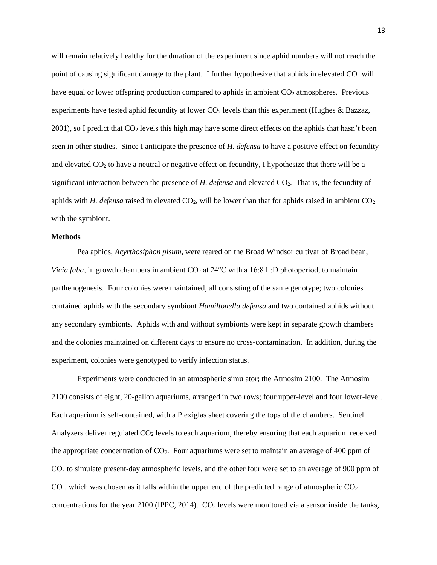will remain relatively healthy for the duration of the experiment since aphid numbers will not reach the point of causing significant damage to the plant. I further hypothesize that aphids in elevated  $CO<sub>2</sub>$  will have equal or lower offspring production compared to aphids in ambient  $CO<sub>2</sub>$  atmospheres. Previous experiments have tested aphid fecundity at lower  $CO<sub>2</sub>$  levels than this experiment (Hughes & Bazzaz, 2001), so I predict that  $CO<sub>2</sub>$  levels this high may have some direct effects on the aphids that hasn't been seen in other studies. Since I anticipate the presence of *H. defensa* to have a positive effect on fecundity and elevated  $CO<sub>2</sub>$  to have a neutral or negative effect on fecundity, I hypothesize that there will be a significant interaction between the presence of *H. defensa* and elevated CO2. That is, the fecundity of aphids with *H. defensa* raised in elevated  $CO<sub>2</sub>$ , will be lower than that for aphids raised in ambient  $CO<sub>2</sub>$ with the symbiont.

#### **Methods**

Pea aphids, *Acyrthosiphon pisum*, were reared on the Broad Windsor cultivar of Broad bean, *Vicia faba*, in growth chambers in ambient CO<sub>2</sub> at 24°C with a 16:8 L:D photoperiod, to maintain parthenogenesis. Four colonies were maintained, all consisting of the same genotype; two colonies contained aphids with the secondary symbiont *Hamiltonella defensa* and two contained aphids without any secondary symbionts. Aphids with and without symbionts were kept in separate growth chambers and the colonies maintained on different days to ensure no cross-contamination. In addition, during the experiment, colonies were genotyped to verify infection status.

Experiments were conducted in an atmospheric simulator; the Atmosim 2100. The Atmosim 2100 consists of eight, 20-gallon aquariums, arranged in two rows; four upper-level and four lower-level. Each aquarium is self-contained, with a Plexiglas sheet covering the tops of the chambers. Sentinel Analyzers deliver regulated  $CO<sub>2</sub>$  levels to each aquarium, thereby ensuring that each aquarium received the appropriate concentration of  $CO<sub>2</sub>$ . Four aquariums were set to maintain an average of 400 ppm of CO<sup>2</sup> to simulate present-day atmospheric levels, and the other four were set to an average of 900 ppm of  $CO<sub>2</sub>$ , which was chosen as it falls within the upper end of the predicted range of atmospheric  $CO<sub>2</sub>$ concentrations for the year 2100 (IPPC, 2014).  $CO<sub>2</sub>$  levels were monitored via a sensor inside the tanks,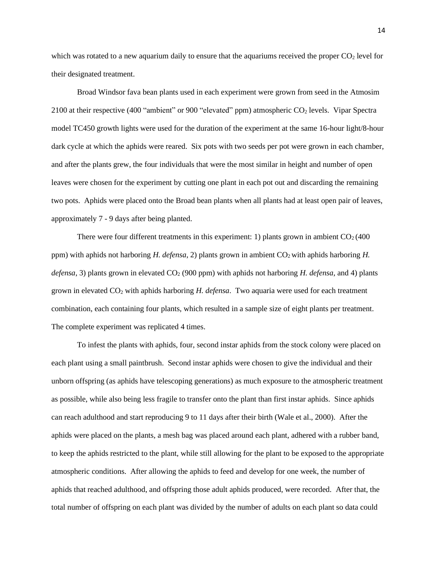which was rotated to a new aquarium daily to ensure that the aquariums received the proper  $CO<sub>2</sub>$  level for their designated treatment.

Broad Windsor fava bean plants used in each experiment were grown from seed in the Atmosim 2100 at their respective (400 "ambient" or 900 "elevated" ppm) atmospheric  $CO<sub>2</sub>$  levels. Vipar Spectra model TC450 growth lights were used for the duration of the experiment at the same 16-hour light/8-hour dark cycle at which the aphids were reared. Six pots with two seeds per pot were grown in each chamber, and after the plants grew, the four individuals that were the most similar in height and number of open leaves were chosen for the experiment by cutting one plant in each pot out and discarding the remaining two pots. Aphids were placed onto the Broad bean plants when all plants had at least open pair of leaves, approximately 7 - 9 days after being planted.

There were four different treatments in this experiment: 1) plants grown in ambient  $CO<sub>2</sub>(400$ ppm) with aphids not harboring *H. defensa*, 2) plants grown in ambient CO<sub>2</sub> with aphids harboring *H*. *defensa*, 3) plants grown in elevated CO<sub>2</sub> (900 ppm) with aphids not harboring *H. defensa*, and 4) plants grown in elevated CO<sup>2</sup> with aphids harboring *H. defensa*. Two aquaria were used for each treatment combination, each containing four plants, which resulted in a sample size of eight plants per treatment. The complete experiment was replicated 4 times.

To infest the plants with aphids, four, second instar aphids from the stock colony were placed on each plant using a small paintbrush. Second instar aphids were chosen to give the individual and their unborn offspring (as aphids have telescoping generations) as much exposure to the atmospheric treatment as possible, while also being less fragile to transfer onto the plant than first instar aphids. Since aphids can reach adulthood and start reproducing 9 to 11 days after their birth (Wale et al., 2000). After the aphids were placed on the plants, a mesh bag was placed around each plant, adhered with a rubber band, to keep the aphids restricted to the plant, while still allowing for the plant to be exposed to the appropriate atmospheric conditions. After allowing the aphids to feed and develop for one week, the number of aphids that reached adulthood, and offspring those adult aphids produced, were recorded. After that, the total number of offspring on each plant was divided by the number of adults on each plant so data could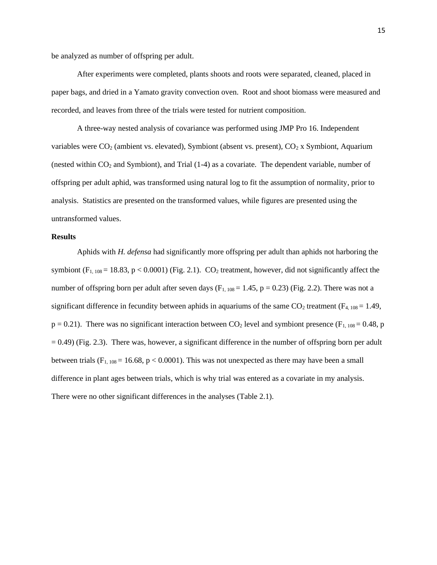be analyzed as number of offspring per adult.

After experiments were completed, plants shoots and roots were separated, cleaned, placed in paper bags, and dried in a Yamato gravity convection oven. Root and shoot biomass were measured and recorded, and leaves from three of the trials were tested for nutrient composition.

A three-way nested analysis of covariance was performed using JMP Pro 16. Independent variables were  $CO<sub>2</sub>$  (ambient vs. elevated), Symbiont (absent vs. present),  $CO<sub>2</sub>$  x Symbiont, Aquarium (nested within  $CO<sub>2</sub>$  and Symbiont), and Trial (1-4) as a covariate. The dependent variable, number of offspring per adult aphid, was transformed using natural log to fit the assumption of normality, prior to analysis. Statistics are presented on the transformed values, while figures are presented using the untransformed values.

#### **Results**

Aphids with *H. defensa* had significantly more offspring per adult than aphids not harboring the symbiont ( $F_{1, 108}$  = 18.83, p < 0.0001) (Fig. 2.1). CO<sub>2</sub> treatment, however, did not significantly affect the number of offspring born per adult after seven days  $(F_{1, 108} = 1.45, p = 0.23)$  (Fig. 2.2). There was not a significant difference in fecundity between aphids in aquariums of the same  $CO_2$  treatment ( $F_{4, 108} = 1.49$ ,  $p = 0.21$ ). There was no significant interaction between CO<sub>2</sub> level and symbiont presence (F<sub>1, 108</sub> = 0.48, p  $= 0.49$ ) (Fig. 2.3). There was, however, a significant difference in the number of offspring born per adult between trials  $(F_{1, 108} = 16.68, p < 0.0001)$ . This was not unexpected as there may have been a small difference in plant ages between trials, which is why trial was entered as a covariate in my analysis. There were no other significant differences in the analyses (Table 2.1).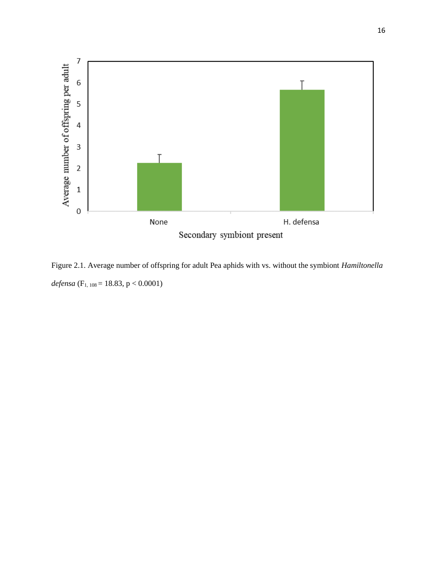

Figure 2.1. Average number of offspring for adult Pea aphids with vs. without the symbiont *Hamiltonella defensa* (F1, 108 = 18.83, p < 0.0001)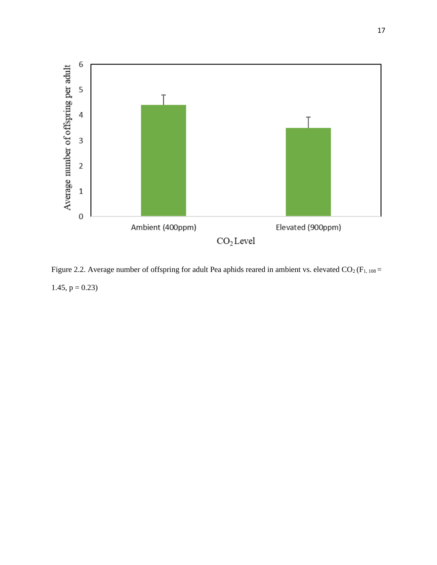

Figure 2.2. Average number of offspring for adult Pea aphids reared in ambient vs. elevated  $CO_2$  (F<sub>1, 108</sub> = 1.45,  $p = 0.23$ )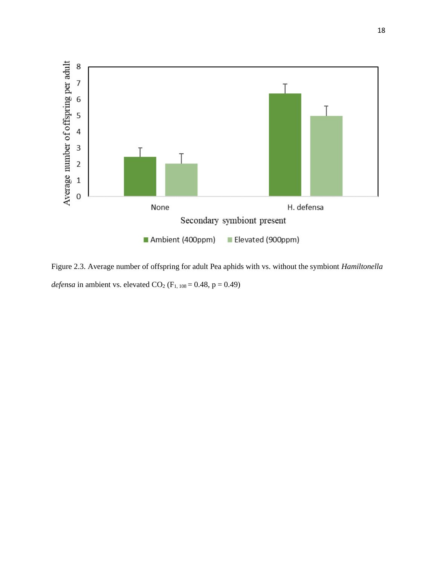

Figure 2.3. Average number of offspring for adult Pea aphids with vs. without the symbiont *Hamiltonella defensa* in ambient vs. elevated  $CO_2$  ( $F_{1, 108} = 0.48$ ,  $p = 0.49$ )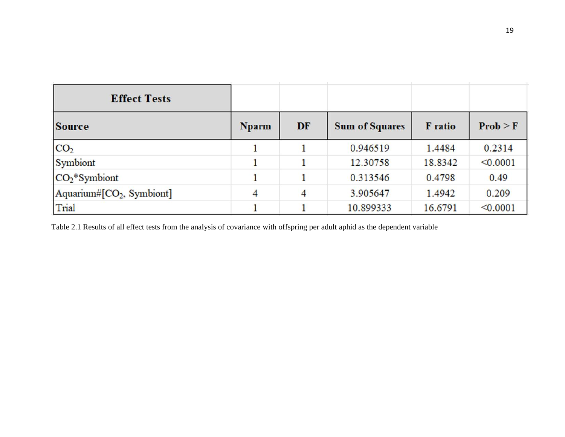| <b>Effect Tests</b>                   |              |    |                       |                |            |
|---------------------------------------|--------------|----|-----------------------|----------------|------------|
| <b>Source</b>                         | <b>Nparm</b> | DF | <b>Sum of Squares</b> | <b>F</b> ratio | $Prob > F$ |
| CO <sub>2</sub>                       |              |    | 0.946519              | 1.4484         | 0.2314     |
| Symbiont                              |              |    | 12.30758              | 18.8342        | < 0.0001   |
| $CO2*Symbiont$                        |              |    | 0.313546              | 0.4798         | 0.49       |
| Aquarium#[CO <sub>2</sub> , Symbiont] | 4            | 4  | 3.905647              | 1.4942         | 0.209      |
| Trial                                 |              |    | 10.899333             | 16.6791        | < 0.0001   |

Table 2.1 Results of all effect tests from the analysis of covariance with offspring per adult aphid as the dependent variable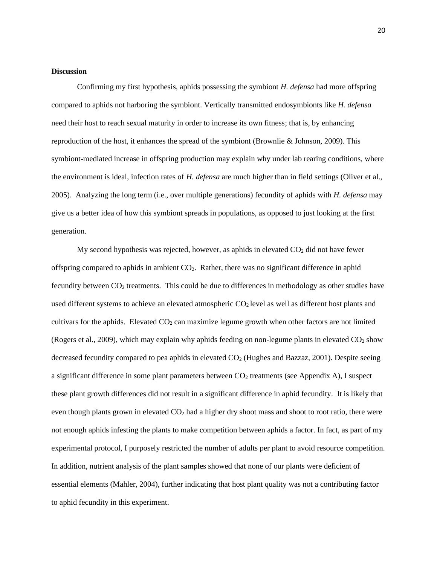#### **Discussion**

Confirming my first hypothesis, aphids possessing the symbiont *H. defensa* had more offspring compared to aphids not harboring the symbiont. Vertically transmitted endosymbionts like *H. defensa* need their host to reach sexual maturity in order to increase its own fitness; that is, by enhancing reproduction of the host, it enhances the spread of the symbiont (Brownlie & Johnson, 2009). This symbiont-mediated increase in offspring production may explain why under lab rearing conditions, where the environment is ideal, infection rates of *H. defensa* are much higher than in field settings (Oliver et al., 2005). Analyzing the long term (i.e., over multiple generations) fecundity of aphids with *H. defensa* may give us a better idea of how this symbiont spreads in populations, as opposed to just looking at the first generation.

My second hypothesis was rejected, however, as aphids in elevated  $CO<sub>2</sub>$  did not have fewer offspring compared to aphids in ambient  $CO<sub>2</sub>$ . Rather, there was no significant difference in aphid fecundity between CO<sup>2</sup> treatments. This could be due to differences in methodology as other studies have used different systems to achieve an elevated atmospheric  $CO<sub>2</sub>$  level as well as different host plants and cultivars for the aphids. Elevated  $CO<sub>2</sub>$  can maximize legume growth when other factors are not limited (Rogers et al., 2009), which may explain why aphids feeding on non-legume plants in elevated  $CO<sub>2</sub>$  show decreased fecundity compared to pea aphids in elevated  $CO<sub>2</sub>$  (Hughes and Bazzaz, 2001). Despite seeing a significant difference in some plant parameters between  $CO<sub>2</sub>$  treatments (see Appendix A), I suspect these plant growth differences did not result in a significant difference in aphid fecundity. It is likely that even though plants grown in elevated  $CO<sub>2</sub>$  had a higher dry shoot mass and shoot to root ratio, there were not enough aphids infesting the plants to make competition between aphids a factor. In fact, as part of my experimental protocol, I purposely restricted the number of adults per plant to avoid resource competition. In addition, nutrient analysis of the plant samples showed that none of our plants were deficient of essential elements (Mahler, 2004), further indicating that host plant quality was not a contributing factor to aphid fecundity in this experiment.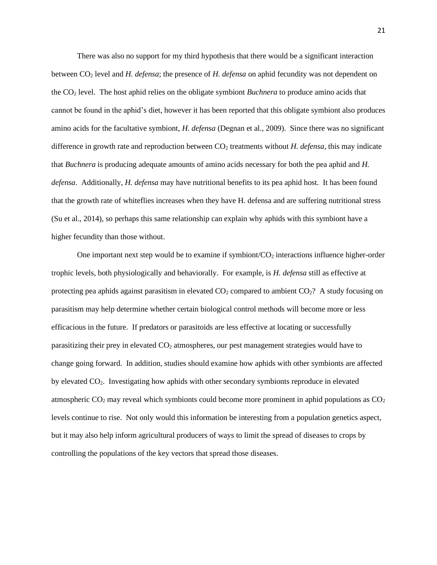There was also no support for my third hypothesis that there would be a significant interaction between CO<sup>2</sup> level and *H. defensa*; the presence of *H. defensa* on aphid fecundity was not dependent on the CO<sup>2</sup> level. The host aphid relies on the obligate symbiont *Buchnera* to produce amino acids that cannot be found in the aphid's diet, however it has been reported that this obligate symbiont also produces amino acids for the facultative symbiont, *H. defensa* (Degnan et al., 2009). Since there was no significant difference in growth rate and reproduction between CO<sup>2</sup> treatments without *H. defensa*, this may indicate that *Buchnera* is producing adequate amounts of amino acids necessary for both the pea aphid and *H. defensa*. Additionally, *H. defensa* may have nutritional benefits to its pea aphid host. It has been found that the growth rate of whiteflies increases when they have H. defensa and are suffering nutritional stress (Su et al., 2014), so perhaps this same relationship can explain why aphids with this symbiont have a higher fecundity than those without.

One important next step would be to examine if symbiont/ $CO<sub>2</sub>$  interactions influence higher-order trophic levels, both physiologically and behaviorally. For example, is *H. defensa* still as effective at protecting pea aphids against parasitism in elevated  $CO<sub>2</sub>$  compared to ambient  $CO<sub>2</sub>$ ? A study focusing on parasitism may help determine whether certain biological control methods will become more or less efficacious in the future. If predators or parasitoids are less effective at locating or successfully parasitizing their prey in elevated CO<sub>2</sub> atmospheres, our pest management strategies would have to change going forward. In addition, studies should examine how aphids with other symbionts are affected by elevated CO2. Investigating how aphids with other secondary symbionts reproduce in elevated atmospheric  $CO<sub>2</sub>$  may reveal which symbionts could become more prominent in aphid populations as  $CO<sub>2</sub>$ levels continue to rise. Not only would this information be interesting from a population genetics aspect, but it may also help inform agricultural producers of ways to limit the spread of diseases to crops by controlling the populations of the key vectors that spread those diseases.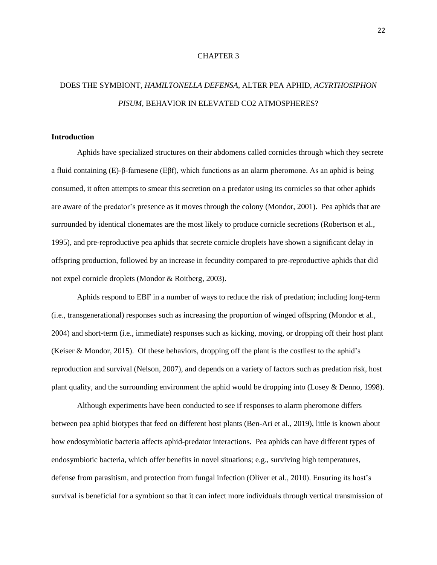#### CHAPTER 3

# DOES THE SYMBIONT, *HAMILTONELLA DEFENSA*, ALTER PEA APHID, *ACYRTHOSIPHON PISUM*, BEHAVIOR IN ELEVATED CO2 ATMOSPHERES?

#### **Introduction**

Aphids have specialized structures on their abdomens called cornicles through which they secrete a fluid containing (E)-β-farnesene (Eβf), which functions as an alarm pheromone. As an aphid is being consumed, it often attempts to smear this secretion on a predator using its cornicles so that other aphids are aware of the predator's presence as it moves through the colony (Mondor, 2001). Pea aphids that are surrounded by identical clonemates are the most likely to produce cornicle secretions (Robertson et al., 1995), and pre-reproductive pea aphids that secrete cornicle droplets have shown a significant delay in offspring production, followed by an increase in fecundity compared to pre-reproductive aphids that did not expel cornicle droplets (Mondor & Roitberg, 2003).

Aphids respond to EBF in a number of ways to reduce the risk of predation; including long-term (i.e., transgenerational) responses such as increasing the proportion of winged offspring (Mondor et al., 2004) and short-term (i.e., immediate) responses such as kicking, moving, or dropping off their host plant (Keiser & Mondor, 2015). Of these behaviors, dropping off the plant is the costliest to the aphid's reproduction and survival (Nelson, 2007), and depends on a variety of factors such as predation risk, host plant quality, and the surrounding environment the aphid would be dropping into (Losey & Denno, 1998).

Although experiments have been conducted to see if responses to alarm pheromone differs between pea aphid biotypes that feed on different host plants (Ben-Ari et al., 2019), little is known about how endosymbiotic bacteria affects aphid-predator interactions. Pea aphids can have different types of endosymbiotic bacteria, which offer benefits in novel situations; e.g., surviving high temperatures, defense from parasitism, and protection from fungal infection (Oliver et al., 2010). Ensuring its host's survival is beneficial for a symbiont so that it can infect more individuals through vertical transmission of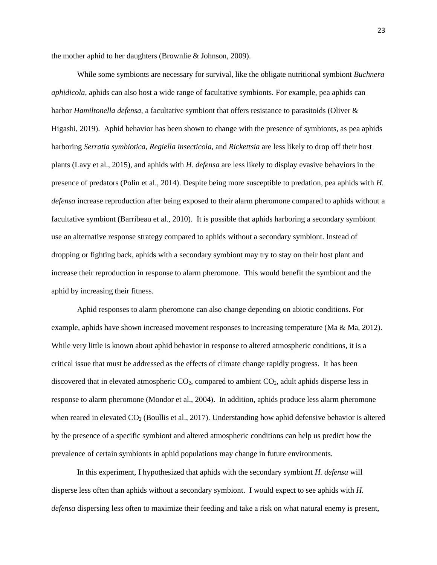the mother aphid to her daughters (Brownlie & Johnson, 2009).

While some symbionts are necessary for survival, like the obligate nutritional symbiont *Buchnera aphidicola*, aphids can also host a wide range of facultative symbionts. For example, pea aphids can harbor *Hamiltonella defensa,* a facultative symbiont that offers resistance to parasitoids (Oliver & Higashi, 2019). Aphid behavior has been shown to change with the presence of symbionts, as pea aphids harboring *Serratia symbiotica, Regiella insecticola,* and *Rickettsia* are less likely to drop off their host plants (Lavy et al., 2015), and aphids with *H. defensa* are less likely to display evasive behaviors in the presence of predators (Polin et al., 2014). Despite being more susceptible to predation, pea aphids with *H. defensa* increase reproduction after being exposed to their alarm pheromone compared to aphids without a facultative symbiont (Barribeau et al., 2010). It is possible that aphids harboring a secondary symbiont use an alternative response strategy compared to aphids without a secondary symbiont. Instead of dropping or fighting back, aphids with a secondary symbiont may try to stay on their host plant and increase their reproduction in response to alarm pheromone. This would benefit the symbiont and the aphid by increasing their fitness.

Aphid responses to alarm pheromone can also change depending on abiotic conditions. For example, aphids have shown increased movement responses to increasing temperature (Ma & Ma, 2012). While very little is known about aphid behavior in response to altered atmospheric conditions, it is a critical issue that must be addressed as the effects of climate change rapidly progress. It has been discovered that in elevated atmospheric  $CO<sub>2</sub>$ , compared to ambient  $CO<sub>2</sub>$ , adult aphids disperse less in response to alarm pheromone (Mondor et al., 2004). In addition, aphids produce less alarm pheromone when reared in elevated CO<sub>2</sub> (Boullis et al., 2017). Understanding how aphid defensive behavior is altered by the presence of a specific symbiont and altered atmospheric conditions can help us predict how the prevalence of certain symbionts in aphid populations may change in future environments.

In this experiment, I hypothesized that aphids with the secondary symbiont *H. defensa* will disperse less often than aphids without a secondary symbiont. I would expect to see aphids with *H. defensa* dispersing less often to maximize their feeding and take a risk on what natural enemy is present,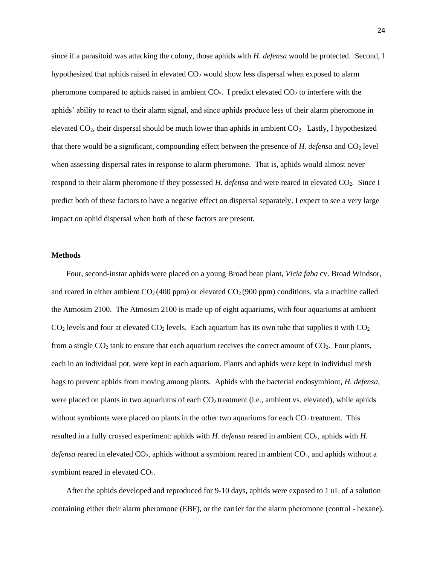since if a parasitoid was attacking the colony, those aphids with *H. defensa* would be protected. Second, I hypothesized that aphids raised in elevated CO<sub>2</sub> would show less dispersal when exposed to alarm pheromone compared to aphids raised in ambient  $CO<sub>2</sub>$ . I predict elevated  $CO<sub>2</sub>$  to interfere with the aphids' ability to react to their alarm signal, and since aphids produce less of their alarm pheromone in elevated  $CO_2$ , their dispersal should be much lower than aphids in ambient  $CO_2$  Lastly, I hypothesized that there would be a significant, compounding effect between the presence of *H. defensa* and CO<sub>2</sub> level when assessing dispersal rates in response to alarm pheromone. That is, aphids would almost never respond to their alarm pheromone if they possessed *H. defensa* and were reared in elevated CO<sub>2</sub>. Since I predict both of these factors to have a negative effect on dispersal separately, I expect to see a very large impact on aphid dispersal when both of these factors are present.

#### **Methods**

Four, second-instar aphids were placed on a young Broad bean plant, *Vicia faba* cv. Broad Windsor, and reared in either ambient  $CO<sub>2</sub>(400 ppm)$  or elevated  $CO<sub>2</sub>(900 ppm)$  conditions, via a machine called the Atmosim 2100. The Atmosim 2100 is made up of eight aquariums, with four aquariums at ambient  $CO<sub>2</sub>$  levels and four at elevated  $CO<sub>2</sub>$  levels. Each aquarium has its own tube that supplies it with  $CO<sub>2</sub>$ from a single  $CO<sub>2</sub>$  tank to ensure that each aquarium receives the correct amount of  $CO<sub>2</sub>$ . Four plants, each in an individual pot, were kept in each aquarium. Plants and aphids were kept in individual mesh bags to prevent aphids from moving among plants. Aphids with the bacterial endosymbiont, *H. defensa*, were placed on plants in two aquariums of each CO<sub>2</sub> treatment (i.e., ambient vs. elevated), while aphids without symbionts were placed on plants in the other two aquariums for each  $CO<sub>2</sub>$  treatment. This resulted in a fully crossed experiment: aphids with *H. defensa* reared in ambient CO<sub>2</sub>, aphids with *H*. *defensa* reared in elevated CO2, aphids without a symbiont reared in ambient CO2, and aphids without a symbiont reared in elevated  $CO<sub>2</sub>$ .

After the aphids developed and reproduced for 9-10 days, aphids were exposed to 1 uL of a solution containing either their alarm pheromone (EBF), or the carrier for the alarm pheromone (control - hexane).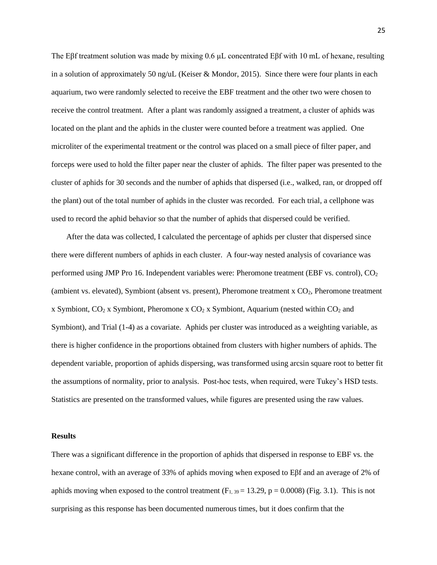The Eβf treatment solution was made by mixing 0.6 µL concentrated Eβf with 10 mL of hexane, resulting in a solution of approximately 50 ng/uL (Keiser & Mondor, 2015). Since there were four plants in each aquarium, two were randomly selected to receive the EBF treatment and the other two were chosen to receive the control treatment. After a plant was randomly assigned a treatment, a cluster of aphids was located on the plant and the aphids in the cluster were counted before a treatment was applied. One microliter of the experimental treatment or the control was placed on a small piece of filter paper, and forceps were used to hold the filter paper near the cluster of aphids. The filter paper was presented to the cluster of aphids for 30 seconds and the number of aphids that dispersed (i.e., walked, ran, or dropped off the plant) out of the total number of aphids in the cluster was recorded. For each trial, a cellphone was used to record the aphid behavior so that the number of aphids that dispersed could be verified.

After the data was collected, I calculated the percentage of aphids per cluster that dispersed since there were different numbers of aphids in each cluster. A four-way nested analysis of covariance was performed using JMP Pro 16. Independent variables were: Pheromone treatment (EBF vs. control),  $CO<sub>2</sub>$ (ambient vs. elevated), Symbiont (absent vs. present), Pheromone treatment  $x CO<sub>2</sub>$ , Pheromone treatment x Symbiont,  $CO_2$  x Symbiont, Pheromone x  $CO_2$  x Symbiont, Aquarium (nested within  $CO_2$  and Symbiont), and Trial (1-4) as a covariate. Aphids per cluster was introduced as a weighting variable, as there is higher confidence in the proportions obtained from clusters with higher numbers of aphids. The dependent variable, proportion of aphids dispersing, was transformed using arcsin square root to better fit the assumptions of normality, prior to analysis. Post-hoc tests, when required, were Tukey's HSD tests. Statistics are presented on the transformed values, while figures are presented using the raw values.

#### **Results**

There was a significant difference in the proportion of aphids that dispersed in response to EBF vs. the hexane control, with an average of 33% of aphids moving when exposed to Eβf and an average of 2% of aphids moving when exposed to the control treatment  $(F_{1, 39} = 13.29, p = 0.0008)$  (Fig. 3.1). This is not surprising as this response has been documented numerous times, but it does confirm that the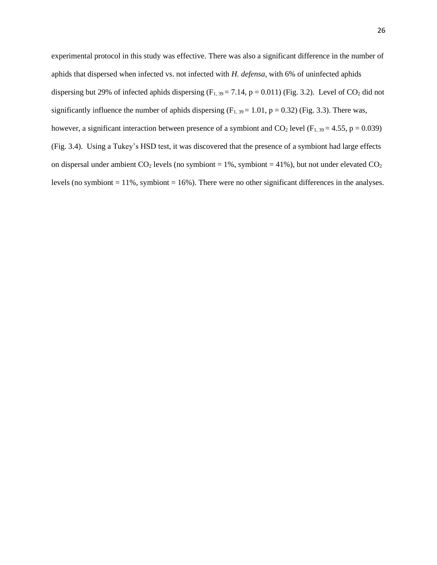experimental protocol in this study was effective. There was also a significant difference in the number of aphids that dispersed when infected vs. not infected with *H. defensa*, with 6% of uninfected aphids dispersing but 29% of infected aphids dispersing  $(F_{1, 39} = 7.14, p = 0.011)$  (Fig. 3.2). Level of CO<sub>2</sub> did not significantly influence the number of aphids dispersing  $(F_{1, 39} = 1.01, p = 0.32)$  (Fig. 3.3). There was, however, a significant interaction between presence of a symbiont and  $CO_2$  level (F<sub>1, 39</sub> = 4.55, p = 0.039) (Fig. 3.4). Using a Tukey's HSD test, it was discovered that the presence of a symbiont had large effects on dispersal under ambient  $CO_2$  levels (no symbiont = 1%, symbiont = 41%), but not under elevated  $CO_2$ levels (no symbiont  $= 11\%$ , symbiont  $= 16\%$ ). There were no other significant differences in the analyses.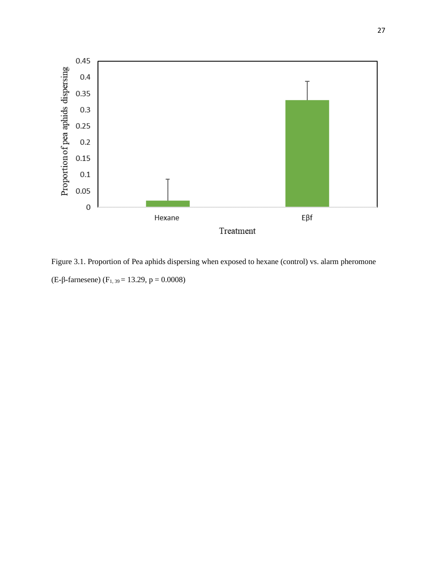

Figure 3.1. Proportion of Pea aphids dispersing when exposed to hexane (control) vs. alarm pheromone (E-β-farnesene) (F<sub>1, 39</sub> = 13.29, p = 0.0008)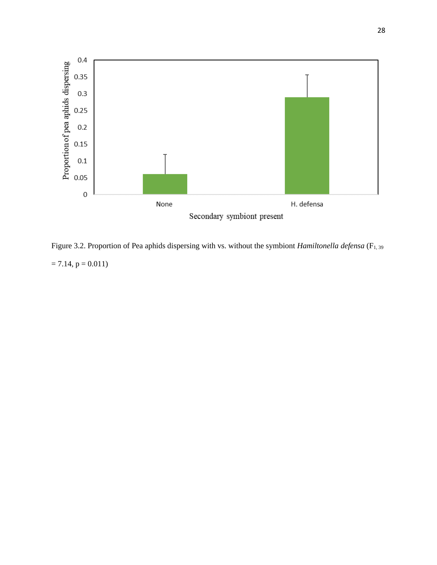

Figure 3.2. Proportion of Pea aphids dispersing with vs. without the symbiont *Hamiltonella defensa* (F<sub>1, 39</sub>)  $= 7.14, p = 0.011$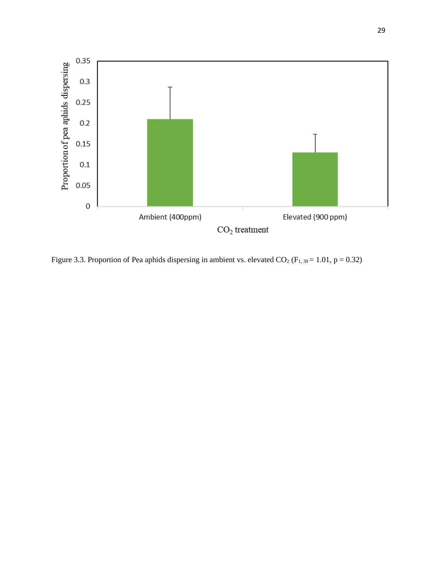

Figure 3.3. Proportion of Pea aphids dispersing in ambient vs. elevated  $CO<sub>2</sub>$  (F<sub>1, 39</sub> = 1.01, p = 0.32)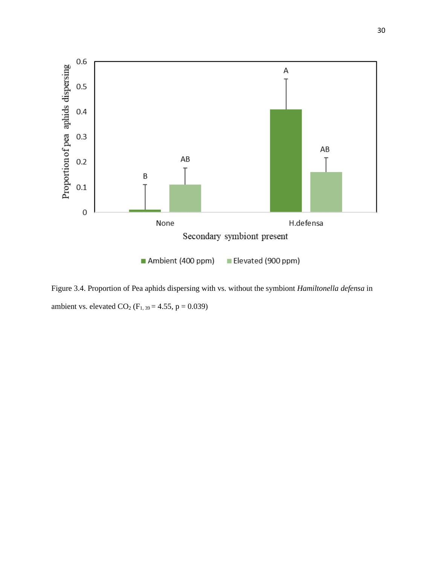

Figure 3.4. Proportion of Pea aphids dispersing with vs. without the symbiont *Hamiltonella defensa* in ambient vs. elevated  $CO_2$  (F<sub>1, 39</sub> = 4.55, p = 0.039)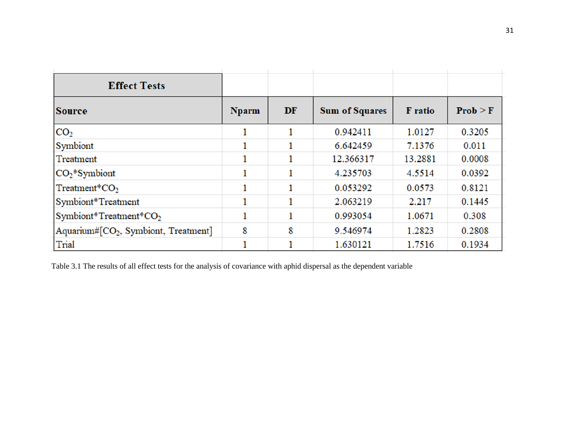| <b>Effect Tests</b>                 |              |    |                       |                |            |
|-------------------------------------|--------------|----|-----------------------|----------------|------------|
| <b>Source</b>                       | <b>Nparm</b> | DF | <b>Sum of Squares</b> | <b>F</b> ratio | $Prob > F$ |
| CO <sub>2</sub>                     |              |    | 0.942411              | 1.0127         | 0.3205     |
| Symbiont                            |              |    | 6.642459              | 7.1376         | 0.011      |
| Treatment                           |              |    | 12.366317             | 13.2881        | 0.0008     |
| $CO2*Symbiont$                      |              |    | 4.235703              | 4.5514         | 0.0392     |
| Treatment* $CO2$                    |              |    | 0.053292              | 0.0573         | 0.8121     |
| Symbiont*Treatment                  |              |    | 2.063219              | 2.217          | 0.1445     |
| Symbiont*Treatment*CO2              |              |    | 0.993054              | 1.0671         | 0.308      |
| Aquarium#[CO2, Symbiont, Treatment] | 8            | 8  | 9.546974              | 1.2823         | 0.2808     |
| Trial                               |              |    | 1.630121              | 1.7516         | 0.1934     |

Table 3.1 The results of all effect tests for the analysis of covariance with aphid dispersal as the dependent variable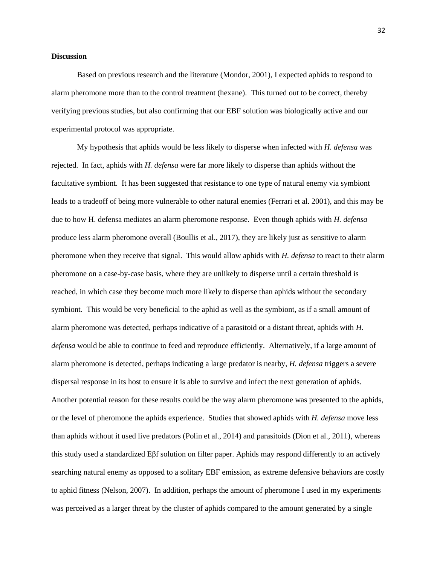#### **Discussion**

Based on previous research and the literature (Mondor, 2001), I expected aphids to respond to alarm pheromone more than to the control treatment (hexane). This turned out to be correct, thereby verifying previous studies, but also confirming that our EBF solution was biologically active and our experimental protocol was appropriate.

My hypothesis that aphids would be less likely to disperse when infected with *H. defensa* was rejected. In fact, aphids with *H. defensa* were far more likely to disperse than aphids without the facultative symbiont. It has been suggested that resistance to one type of natural enemy via symbiont leads to a tradeoff of being more vulnerable to other natural enemies (Ferrari et al. 2001), and this may be due to how H. defensa mediates an alarm pheromone response. Even though aphids with *H. defensa* produce less alarm pheromone overall (Boullis et al., 2017), they are likely just as sensitive to alarm pheromone when they receive that signal. This would allow aphids with *H. defensa* to react to their alarm pheromone on a case-by-case basis, where they are unlikely to disperse until a certain threshold is reached, in which case they become much more likely to disperse than aphids without the secondary symbiont. This would be very beneficial to the aphid as well as the symbiont, as if a small amount of alarm pheromone was detected, perhaps indicative of a parasitoid or a distant threat, aphids with *H. defensa* would be able to continue to feed and reproduce efficiently. Alternatively, if a large amount of alarm pheromone is detected, perhaps indicating a large predator is nearby, *H. defensa* triggers a severe dispersal response in its host to ensure it is able to survive and infect the next generation of aphids. Another potential reason for these results could be the way alarm pheromone was presented to the aphids, or the level of pheromone the aphids experience. Studies that showed aphids with *H. defensa* move less than aphids without it used live predators (Polin et al., 2014) and parasitoids (Dion et al., 2011), whereas this study used a standardized Eβf solution on filter paper. Aphids may respond differently to an actively searching natural enemy as opposed to a solitary EBF emission, as extreme defensive behaviors are costly to aphid fitness (Nelson, 2007). In addition, perhaps the amount of pheromone I used in my experiments was perceived as a larger threat by the cluster of aphids compared to the amount generated by a single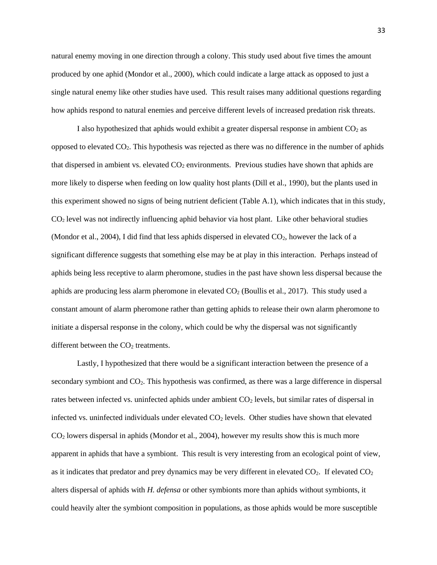natural enemy moving in one direction through a colony. This study used about five times the amount produced by one aphid (Mondor et al., 2000), which could indicate a large attack as opposed to just a single natural enemy like other studies have used. This result raises many additional questions regarding how aphids respond to natural enemies and perceive different levels of increased predation risk threats.

I also hypothesized that aphids would exhibit a greater dispersal response in ambient  $CO<sub>2</sub>$  as opposed to elevated CO2. This hypothesis was rejected as there was no difference in the number of aphids that dispersed in ambient vs. elevated  $CO<sub>2</sub>$  environments. Previous studies have shown that aphids are more likely to disperse when feeding on low quality host plants (Dill et al., 1990), but the plants used in this experiment showed no signs of being nutrient deficient (Table A.1), which indicates that in this study, CO<sup>2</sup> level was not indirectly influencing aphid behavior via host plant. Like other behavioral studies (Mondor et al., 2004), I did find that less aphids dispersed in elevated  $CO<sub>2</sub>$ , however the lack of a significant difference suggests that something else may be at play in this interaction. Perhaps instead of aphids being less receptive to alarm pheromone, studies in the past have shown less dispersal because the aphids are producing less alarm pheromone in elevated  $CO<sub>2</sub>$  (Boullis et al., 2017). This study used a constant amount of alarm pheromone rather than getting aphids to release their own alarm pheromone to initiate a dispersal response in the colony, which could be why the dispersal was not significantly different between the  $CO<sub>2</sub>$  treatments.

Lastly, I hypothesized that there would be a significant interaction between the presence of a secondary symbiont and  $CO<sub>2</sub>$ . This hypothesis was confirmed, as there was a large difference in dispersal rates between infected vs. uninfected aphids under ambient CO<sub>2</sub> levels, but similar rates of dispersal in infected vs. uninfected individuals under elevated  $CO<sub>2</sub>$  levels. Other studies have shown that elevated CO<sup>2</sup> lowers dispersal in aphids (Mondor et al., 2004), however my results show this is much more apparent in aphids that have a symbiont. This result is very interesting from an ecological point of view, as it indicates that predator and prey dynamics may be very different in elevated  $CO<sub>2</sub>$ . If elevated  $CO<sub>2</sub>$ alters dispersal of aphids with *H. defensa* or other symbionts more than aphids without symbionts, it could heavily alter the symbiont composition in populations, as those aphids would be more susceptible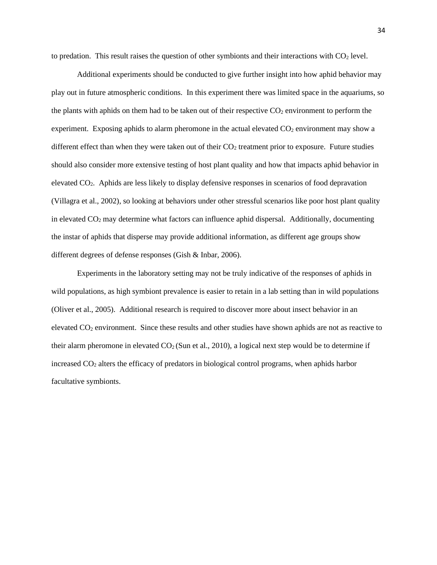to predation. This result raises the question of other symbionts and their interactions with  $CO<sub>2</sub>$  level.

Additional experiments should be conducted to give further insight into how aphid behavior may play out in future atmospheric conditions. In this experiment there was limited space in the aquariums, so the plants with aphids on them had to be taken out of their respective  $CO<sub>2</sub>$  environment to perform the experiment. Exposing aphids to alarm pheromone in the actual elevated  $CO<sub>2</sub>$  environment may show a different effect than when they were taken out of their  $CO<sub>2</sub>$  treatment prior to exposure. Future studies should also consider more extensive testing of host plant quality and how that impacts aphid behavior in elevated CO2. Aphids are less likely to display defensive responses in scenarios of food depravation (Villagra et al., 2002), so looking at behaviors under other stressful scenarios like poor host plant quality in elevated  $CO<sub>2</sub>$  may determine what factors can influence aphid dispersal. Additionally, documenting the instar of aphids that disperse may provide additional information, as different age groups show different degrees of defense responses (Gish & Inbar, 2006).

Experiments in the laboratory setting may not be truly indicative of the responses of aphids in wild populations, as high symbiont prevalence is easier to retain in a lab setting than in wild populations (Oliver et al., 2005). Additional research is required to discover more about insect behavior in an elevated CO<sup>2</sup> environment. Since these results and other studies have shown aphids are not as reactive to their alarm pheromone in elevated  $CO<sub>2</sub>$  (Sun et al., 2010), a logical next step would be to determine if increased CO<sup>2</sup> alters the efficacy of predators in biological control programs, when aphids harbor facultative symbionts.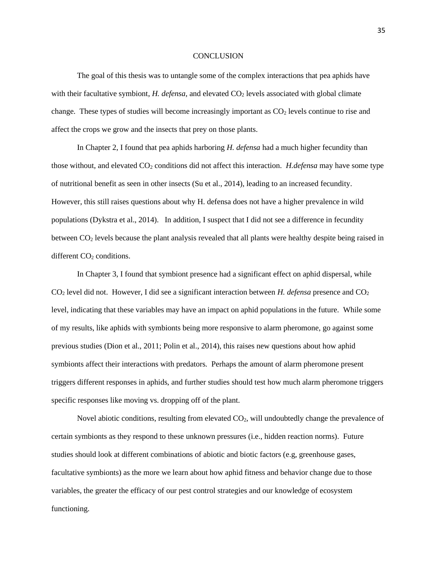#### **CONCLUSION**

The goal of this thesis was to untangle some of the complex interactions that pea aphids have with their facultative symbiont, *H. defensa*, and elevated CO<sub>2</sub> levels associated with global climate change. These types of studies will become increasingly important as  $CO<sub>2</sub>$  levels continue to rise and affect the crops we grow and the insects that prey on those plants.

In Chapter 2, I found that pea aphids harboring *H. defensa* had a much higher fecundity than those without, and elevated CO<sup>2</sup> conditions did not affect this interaction. *H.defensa* may have some type of nutritional benefit as seen in other insects (Su et al., 2014), leading to an increased fecundity. However, this still raises questions about why H. defensa does not have a higher prevalence in wild populations (Dykstra et al., 2014). In addition, I suspect that I did not see a difference in fecundity between CO<sup>2</sup> levels because the plant analysis revealed that all plants were healthy despite being raised in different  $CO<sub>2</sub>$  conditions.

In Chapter 3, I found that symbiont presence had a significant effect on aphid dispersal, while CO<sup>2</sup> level did not. However, I did see a significant interaction between *H. defensa* presence and CO<sup>2</sup> level, indicating that these variables may have an impact on aphid populations in the future. While some of my results, like aphids with symbionts being more responsive to alarm pheromone, go against some previous studies (Dion et al., 2011; Polin et al., 2014), this raises new questions about how aphid symbionts affect their interactions with predators. Perhaps the amount of alarm pheromone present triggers different responses in aphids, and further studies should test how much alarm pheromone triggers specific responses like moving vs. dropping off of the plant.

Novel abiotic conditions, resulting from elevated  $CO<sub>2</sub>$ , will undoubtedly change the prevalence of certain symbionts as they respond to these unknown pressures (i.e., hidden reaction norms). Future studies should look at different combinations of abiotic and biotic factors (e.g, greenhouse gases, facultative symbionts) as the more we learn about how aphid fitness and behavior change due to those variables, the greater the efficacy of our pest control strategies and our knowledge of ecosystem functioning.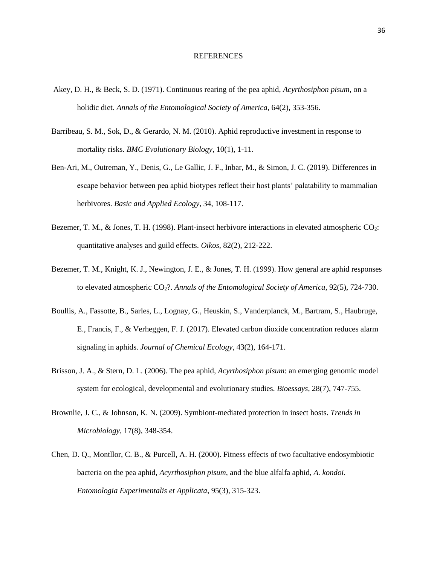#### **REFERENCES**

- Akey, D. H., & Beck, S. D. (1971). Continuous rearing of the pea aphid, *Acyrthosiphon pisum*, on a holidic diet. *Annals of the Entomological Society of America*, 64(2), 353-356.
- Barribeau, S. M., Sok, D., & Gerardo, N. M. (2010). Aphid reproductive investment in response to mortality risks. *BMC Evolutionary Biology*, 10(1), 1-11.
- Ben-Ari, M., Outreman, Y., Denis, G., Le Gallic, J. F., Inbar, M., & Simon, J. C. (2019). Differences in escape behavior between pea aphid biotypes reflect their host plants' palatability to mammalian herbivores. *Basic and Applied Ecology*, 34, 108-117.
- Bezemer, T. M., & Jones, T. H. (1998). Plant-insect herbivore interactions in elevated atmospheric CO<sub>2</sub>: quantitative analyses and guild effects. *Oikos*, 82(2), 212-222.
- Bezemer, T. M., Knight, K. J., Newington, J. E., & Jones, T. H. (1999). How general are aphid responses to elevated atmospheric CO2?. *Annals of the Entomological Society of America*, 92(5), 724-730.
- Boullis, A., Fassotte, B., Sarles, L., Lognay, G., Heuskin, S., Vanderplanck, M., Bartram, S., Haubruge, E., Francis, F., & Verheggen, F. J. (2017). Elevated carbon dioxide concentration reduces alarm signaling in aphids. *Journal of Chemical Ecology*, 43(2), 164-171.
- Brisson, J. A., & Stern, D. L. (2006). The pea aphid, *Acyrthosiphon pisum*: an emerging genomic model system for ecological, developmental and evolutionary studies. *Bioessays*, 28(7), 747-755.
- Brownlie, J. C., & Johnson, K. N. (2009). Symbiont-mediated protection in insect hosts. *Trends in Microbiology*, 17(8), 348-354.
- Chen, D. Q., Montllor, C. B., & Purcell, A. H. (2000). Fitness effects of two facultative endosymbiotic bacteria on the pea aphid, *Acyrthosiphon pisum*, and the blue alfalfa aphid, *A. kondoi*. *Entomologia Experimentalis et Applicata*, 95(3), 315-323.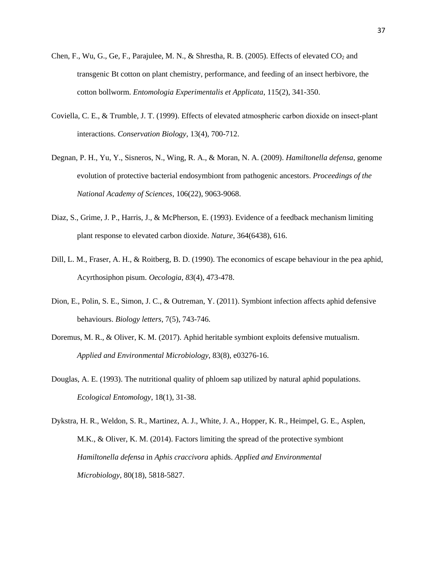- Chen, F., Wu, G., Ge, F., Parajulee, M. N., & Shrestha, R. B. (2005). Effects of elevated  $CO<sub>2</sub>$  and transgenic Bt cotton on plant chemistry, performance, and feeding of an insect herbivore, the cotton bollworm. *Entomologia Experimentalis et Applicata*, 115(2), 341-350.
- Coviella, C. E., & Trumble, J. T. (1999). Effects of elevated atmospheric carbon dioxide on insect‐plant interactions. *Conservation Biology*, 13(4), 700-712.
- Degnan, P. H., Yu, Y., Sisneros, N., Wing, R. A., & Moran, N. A. (2009). *Hamiltonella defensa*, genome evolution of protective bacterial endosymbiont from pathogenic ancestors. *Proceedings of the National Academy of Sciences*, 106(22), 9063-9068.
- Diaz, S., Grime, J. P., Harris, J., & McPherson, E. (1993). Evidence of a feedback mechanism limiting plant response to elevated carbon dioxide. *Nature*, 364(6438), 616.
- Dill, L. M., Fraser, A. H., & Roitberg, B. D. (1990). The economics of escape behaviour in the pea aphid, Acyrthosiphon pisum. *Oecologia*, *83*(4), 473-478.
- Dion, E., Polin, S. E., Simon, J. C., & Outreman, Y. (2011). Symbiont infection affects aphid defensive behaviours. *Biology letters*, 7(5), 743-746.
- Doremus, M. R., & Oliver, K. M. (2017). Aphid heritable symbiont exploits defensive mutualism. *Applied and Environmental Microbiology*, 83(8), e03276-16.
- Douglas, A. E. (1993). The nutritional quality of phloem sap utilized by natural aphid populations. *Ecological Entomology*, 18(1), 31-38.
- Dykstra, H. R., Weldon, S. R., Martinez, A. J., White, J. A., Hopper, K. R., Heimpel, G. E., Asplen, M.K., & Oliver, K. M. (2014). Factors limiting the spread of the protective symbiont *Hamiltonella defensa* in *Aphis craccivora* aphids. *Applied and Environmental Microbiology*, 80(18), 5818-5827.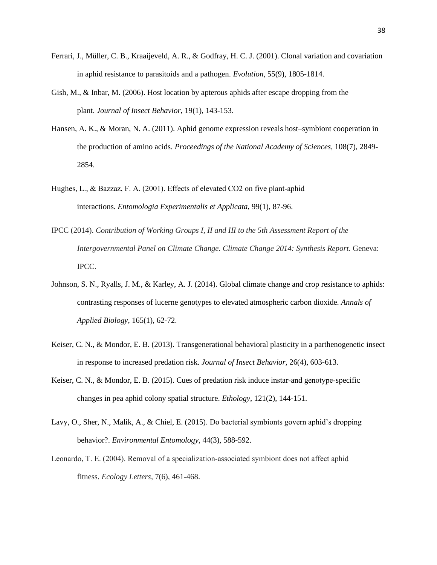- Ferrari, J., Müller, C. B., Kraaijeveld, A. R., & Godfray, H. C. J. (2001). Clonal variation and covariation in aphid resistance to parasitoids and a pathogen. *Evolution*, 55(9), 1805-1814.
- Gish, M., & Inbar, M. (2006). Host location by apterous aphids after escape dropping from the plant. *Journal of Insect Behavior*, 19(1), 143-153.
- Hansen, A. K., & Moran, N. A. (2011). Aphid genome expression reveals host–symbiont cooperation in the production of amino acids. *Proceedings of the National Academy of Sciences*, 108(7), 2849- 2854.
- Hughes, L., & Bazzaz, F. A. (2001). Effects of elevated CO2 on five plant-aphid interactions. *Entomologia Experimentalis et Applicata*, 99(1), 87-96.
- IPCC (2014). *Contribution of Working Groups I, II and III to the 5th Assessment Report of the Intergovernmental Panel on Climate Change. Climate Change 2014: Synthesis Report.* Geneva: IPCC.
- Johnson, S. N., Ryalls, J. M., & Karley, A. J. (2014). Global climate change and crop resistance to aphids: contrasting responses of lucerne genotypes to elevated atmospheric carbon dioxide. *Annals of Applied Biology*, 165(1), 62-72.
- Keiser, C. N., & Mondor, E. B. (2013). Transgenerational behavioral plasticity in a parthenogenetic insect in response to increased predation risk. *Journal of Insect Behavior*, 26(4), 603-613.
- Keiser, C. N., & Mondor, E. B. (2015). Cues of predation risk induce instar-and genotype-specific changes in pea aphid colony spatial structure. *Ethology*, 121(2), 144-151.
- Lavy, O., Sher, N., Malik, A., & Chiel, E. (2015). Do bacterial symbionts govern aphid's dropping behavior?. *Environmental Entomology*, 44(3), 588-592.
- Leonardo, T. E. (2004). Removal of a specialization‐associated symbiont does not affect aphid fitness. *Ecology Letters*, 7(6), 461-468.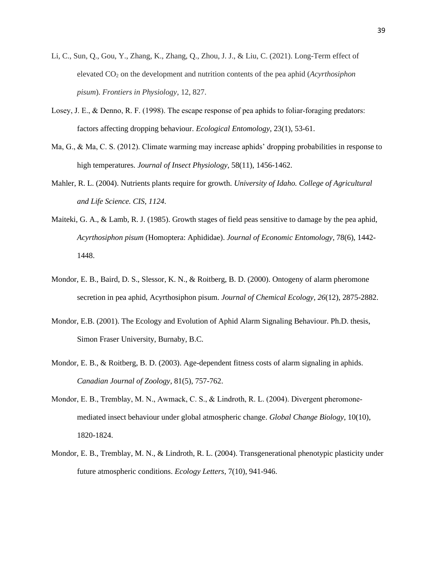- Li, C., Sun, Q., Gou, Y., Zhang, K., Zhang, Q., Zhou, J. J., & Liu, C. (2021). Long-Term effect of elevated CO<sup>2</sup> on the development and nutrition contents of the pea aphid (*Acyrthosiphon pisum*). *Frontiers in Physiology*, 12, 827.
- Losey, J. E., & Denno, R. F. (1998). The escape response of pea aphids to foliar-foraging predators: factors affecting dropping behaviour. *Ecological Entomology*, 23(1), 53-61.
- Ma, G., & Ma, C. S. (2012). Climate warming may increase aphids' dropping probabilities in response to high temperatures. *Journal of Insect Physiology*, 58(11), 1456-1462.
- Mahler, R. L. (2004). Nutrients plants require for growth. *University of Idaho. College of Agricultural and Life Science. CIS*, *1124*.
- Maiteki, G. A., & Lamb, R. J. (1985). Growth stages of field peas sensitive to damage by the pea aphid, *Acyrthosiphon pisum* (Homoptera: Aphididae). *Journal of Economic Entomology*, 78(6), 1442- 1448.
- Mondor, E. B., Baird, D. S., Slessor, K. N., & Roitberg, B. D. (2000). Ontogeny of alarm pheromone secretion in pea aphid, Acyrthosiphon pisum. *Journal of Chemical Ecology*, *26*(12), 2875-2882.
- Mondor, E.B. (2001). The Ecology and Evolution of Aphid Alarm Signaling Behaviour. Ph.D. thesis, Simon Fraser University, Burnaby, B.C.
- Mondor, E. B., & Roitberg, B. D. (2003). Age-dependent fitness costs of alarm signaling in aphids. *Canadian Journal of Zoology*, 81(5), 757-762.
- Mondor, E. B., Tremblay, M. N., Awmack, C. S., & Lindroth, R. L. (2004). Divergent pheromonemediated insect behaviour under global atmospheric change. *Global Change Biology*, 10(10), 1820-1824.
- Mondor, E. B., Tremblay, M. N., & Lindroth, R. L. (2004). Transgenerational phenotypic plasticity under future atmospheric conditions. *Ecology Letters*, 7(10), 941-946.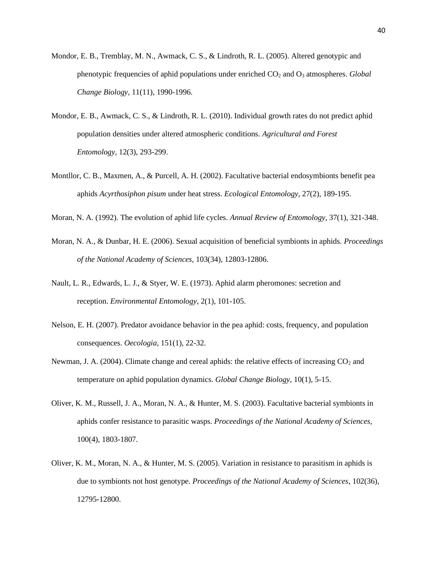- Mondor, E. B., Tremblay, M. N., Awmack, C. S., & Lindroth, R. L. (2005). Altered genotypic and phenotypic frequencies of aphid populations under enriched CO<sub>2</sub> and O<sub>3</sub> atmospheres. *Global Change Biology*, 11(11), 1990-1996.
- Mondor, E. B., Awmack, C. S., & Lindroth, R. L. (2010). Individual growth rates do not predict aphid population densities under altered atmospheric conditions. *Agricultural and Forest Entomology*, 12(3), 293-299.
- Montllor, C. B., Maxmen, A., & Purcell, A. H. (2002). Facultative bacterial endosymbionts benefit pea aphids *Acyrthosiphon pisum* under heat stress. *Ecological Entomology*, 27(2), 189-195.
- Moran, N. A. (1992). The evolution of aphid life cycles. *Annual Review of Entomology*, 37(1), 321-348.
- Moran, N. A., & Dunbar, H. E. (2006). Sexual acquisition of beneficial symbionts in aphids. *Proceedings of the National Academy of Sciences,* 103(34), 12803-12806.
- Nault, L. R., Edwards, L. J., & Styer, W. E. (1973). Aphid alarm pheromones: secretion and reception. *Environmental Entomology*, 2(1), 101-105.
- Nelson, E. H. (2007). Predator avoidance behavior in the pea aphid: costs, frequency, and population consequences. *Oecologia*, 151(1), 22-32.
- Newman, J. A. (2004). Climate change and cereal aphids: the relative effects of increasing  $CO<sub>2</sub>$  and temperature on aphid population dynamics. *Global Change Biology*, 10(1), 5-15.
- Oliver, K. M., Russell, J. A., Moran, N. A., & Hunter, M. S. (2003). Facultative bacterial symbionts in aphids confer resistance to parasitic wasps. *Proceedings of the National Academy of Sciences,* 100(4), 1803-1807.
- Oliver, K. M., Moran, N. A., & Hunter, M. S. (2005). Variation in resistance to parasitism in aphids is due to symbionts not host genotype. *Proceedings of the National Academy of Sciences*, 102(36), 12795-12800.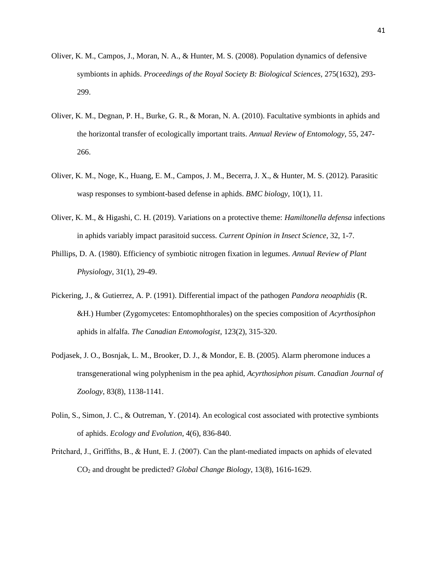- Oliver, K. M., Campos, J., Moran, N. A., & Hunter, M. S. (2008). Population dynamics of defensive symbionts in aphids. *Proceedings of the Royal Society B: Biological Sciences,* 275(1632), 293- 299.
- Oliver, K. M., Degnan, P. H., Burke, G. R., & Moran, N. A. (2010). Facultative symbionts in aphids and the horizontal transfer of ecologically important traits. *Annual Review of Entomology*, 55, 247- 266.
- Oliver, K. M., Noge, K., Huang, E. M., Campos, J. M., Becerra, J. X., & Hunter, M. S. (2012). Parasitic wasp responses to symbiont-based defense in aphids. *BMC biology*, 10(1), 11.
- Oliver, K. M., & Higashi, C. H. (2019). Variations on a protective theme: *Hamiltonella defensa* infections in aphids variably impact parasitoid success. *Current Opinion in Insect Science*, 32, 1-7.
- Phillips, D. A. (1980). Efficiency of symbiotic nitrogen fixation in legumes. *Annual Review of Plant Physiology*, 31(1), 29-49.
- Pickering, J., & Gutierrez, A. P. (1991). Differential impact of the pathogen *Pandora neoaphidis* (R. &H.) Humber (Zygomycetes: Entomophthorales) on the species composition of *Acyrthosiphon* aphids in alfalfa. *The Canadian Entomologist*, 123(2), 315-320.
- Podjasek, J. O., Bosnjak, L. M., Brooker, D. J., & Mondor, E. B. (2005). Alarm pheromone induces a transgenerational wing polyphenism in the pea aphid, *Acyrthosiphon pisum*. *Canadian Journal of Zoology*, 83(8), 1138-1141.
- Polin, S., Simon, J. C., & Outreman, Y. (2014). An ecological cost associated with protective symbionts of aphids. *Ecology and Evolution*, 4(6), 836-840.
- Pritchard, J., Griffiths, B., & Hunt, E. J. (2007). Can the plant‐mediated impacts on aphids of elevated CO<sup>2</sup> and drought be predicted? *Global Change Biology*, 13(8), 1616-1629.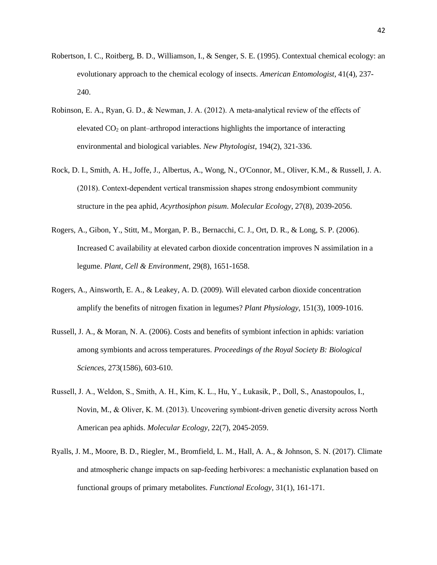- Robertson, I. C., Roitberg, B. D., Williamson, I., & Senger, S. E. (1995). Contextual chemical ecology: an evolutionary approach to the chemical ecology of insects. *American Entomologist*, 41(4), 237- 240.
- Robinson, E. A., Ryan, G. D., & Newman, J. A. (2012). A meta-analytical review of the effects of elevated  $CO<sub>2</sub>$  on plant–arthropod interactions highlights the importance of interacting environmental and biological variables. *New Phytologist*, 194(2), 321-336.
- Rock, D. I., Smith, A. H., Joffe, J., Albertus, A., Wong, N., O'Connor, M., Oliver, K.M., & Russell, J. A. (2018). Context-dependent vertical transmission shapes strong endosymbiont community structure in the pea aphid, *Acyrthosiphon pisum*. *Molecular Ecology*, 27(8), 2039-2056.
- Rogers, A., Gibon, Y., Stitt, M., Morgan, P. B., Bernacchi, C. J., Ort, D. R., & Long, S. P. (2006). Increased C availability at elevated carbon dioxide concentration improves N assimilation in a legume. *Plant, Cell & Environment*, 29(8), 1651-1658.
- Rogers, A., Ainsworth, E. A., & Leakey, A. D. (2009). Will elevated carbon dioxide concentration amplify the benefits of nitrogen fixation in legumes? *Plant Physiology*, 151(3), 1009-1016.
- Russell, J. A., & Moran, N. A. (2006). Costs and benefits of symbiont infection in aphids: variation among symbionts and across temperatures. *Proceedings of the Royal Society B: Biological Sciences,* 273(1586), 603-610.
- Russell, J. A., Weldon, S., Smith, A. H., Kim, K. L., Hu, Y., Łukasik, P., Doll, S., Anastopoulos, I., Novin, M., & Oliver, K. M. (2013). Uncovering symbiont‐driven genetic diversity across North American pea aphids. *Molecular Ecology*, 22(7), 2045-2059.
- Ryalls, J. M., Moore, B. D., Riegler, M., Bromfield, L. M., Hall, A. A., & Johnson, S. N. (2017). Climate and atmospheric change impacts on sap‐feeding herbivores: a mechanistic explanation based on functional groups of primary metabolites. *Functional Ecology*, 31(1), 161-171.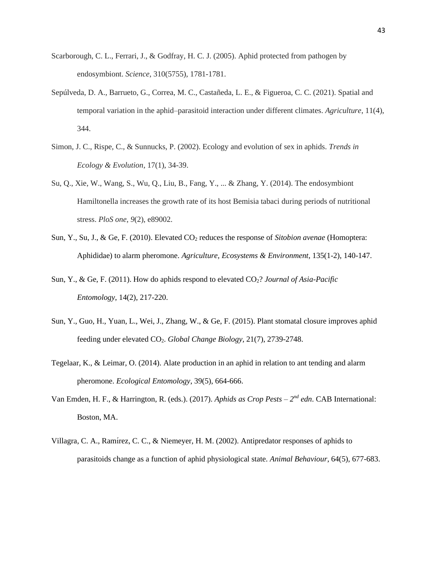- Scarborough, C. L., Ferrari, J., & Godfray, H. C. J. (2005). Aphid protected from pathogen by endosymbiont. *Science*, 310(5755), 1781-1781.
- Sepúlveda, D. A., Barrueto, G., Correa, M. C., Castañeda, L. E., & Figueroa, C. C. (2021). Spatial and temporal variation in the aphid–parasitoid interaction under different climates. *Agriculture*, 11(4), 344.
- Simon, J. C., Rispe, C., & Sunnucks, P. (2002). Ecology and evolution of sex in aphids. *Trends in Ecology & Evolution*, 17(1), 34-39.
- Su, Q., Xie, W., Wang, S., Wu, Q., Liu, B., Fang, Y., ... & Zhang, Y. (2014). The endosymbiont Hamiltonella increases the growth rate of its host Bemisia tabaci during periods of nutritional stress. *PloS one*, *9*(2), e89002.
- Sun, Y., Su, J., & Ge, F. (2010). Elevated CO<sub>2</sub> reduces the response of *Sitobion avenae* (Homoptera: Aphididae) to alarm pheromone. *Agriculture, Ecosystems & Environment*, 135(1-2), 140-147.
- Sun, Y., & Ge, F. (2011). How do aphids respond to elevated CO2? *Journal of Asia-Pacific Entomology*, 14(2), 217-220.
- Sun, Y., Guo, H., Yuan, L., Wei, J., Zhang, W., & Ge, F. (2015). Plant stomatal closure improves aphid feeding under elevated CO2. *Global Change Biology,* 21(7), 2739-2748.
- Tegelaar, K., & Leimar, O. (2014). Alate production in an aphid in relation to ant tending and alarm pheromone. *Ecological Entomology*, 39(5), 664-666.
- Van Emden, H. F., & Harrington, R. (eds.). (2017). *Aphids as Crop Pests 2<sup>nd</sup> edn*. CAB International: Boston, MA.
- Villagra, C. A., Ramı́ rez, C. C., & Niemeyer, H. M. (2002). Antipredator responses of aphids to parasitoids change as a function of aphid physiological state. *Animal Behaviour*, 64(5), 677-683.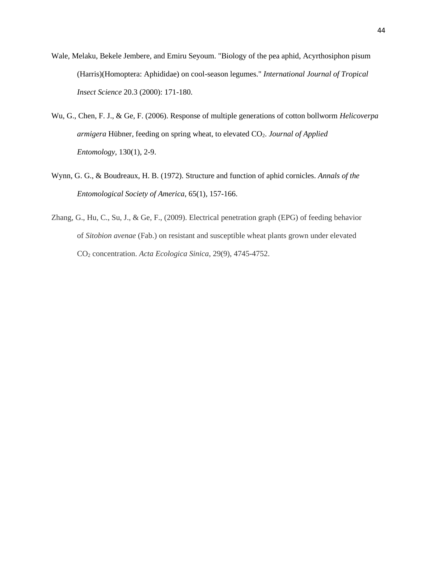- Wale, Melaku, Bekele Jembere, and Emiru Seyoum. "Biology of the pea aphid, Acyrthosiphon pisum (Harris)(Homoptera: Aphididae) on cool-season legumes." *International Journal of Tropical Insect Science* 20.3 (2000): 171-180.
- Wu, G., Chen, F. J., & Ge, F. (2006). Response of multiple generations of cotton bollworm *Helicoverpa armigera* Hübner, feeding on spring wheat, to elevated CO2. *Journal of Applied Entomology*, 130(1), 2-9.
- Wynn, G. G., & Boudreaux, H. B. (1972). Structure and function of aphid cornicles. *Annals of the Entomological Society of America*, 65(1), 157-166.
- Zhang, G., Hu, C., Su, J., & Ge, F., (2009). Electrical penetration graph (EPG) of feeding behavior of *Sitobion avenae* (Fab.) on resistant and susceptible wheat plants grown under elevated CO<sup>2</sup> concentration. *Acta Ecologica Sinica*, 29(9), 4745-4752.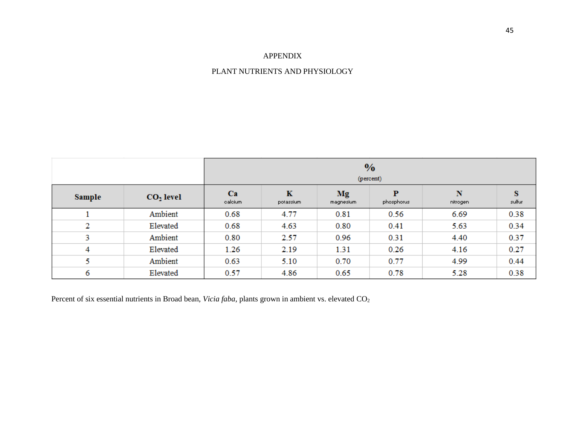## APPENDIX

### PLANT NUTRIENTS AND PHYSIOLOGY

|               |             | $\frac{0}{0}$<br>(percent) |                          |                        |                 |               |             |
|---------------|-------------|----------------------------|--------------------------|------------------------|-----------------|---------------|-------------|
| <b>Sample</b> | $CO2$ level | Ca<br>calcium              | $\mathbf K$<br>potassium | <b>Mg</b><br>magnesium | P<br>phosphorus | N<br>nitrogen | s<br>sulfur |
|               | Ambient     | 0.68                       | 4.77                     | 0.81                   | 0.56            | 6.69          | 0.38        |
| 2             | Elevated    | 0.68                       | 4.63                     | 0.80                   | 0.41            | 5.63          | 0.34        |
| 3             | Ambient     | 0.80                       | 2.57                     | 0.96                   | 0.31            | 4.40          | 0.37        |
| 4             | Elevated    | 1.26                       | 2.19                     | 1.31                   | 0.26            | 4.16          | 0.27        |
| 5             | Ambient     | 0.63                       | 5.10                     | 0.70                   | 0.77            | 4.99          | 0.44        |
| 6             | Elevated    | 0.57                       | 4.86                     | 0.65                   | 0.78            | 5.28          | 0.38        |

Percent of six essential nutrients in Broad bean, *Vicia faba*, plants grown in ambient vs. elevated CO<sub>2</sub>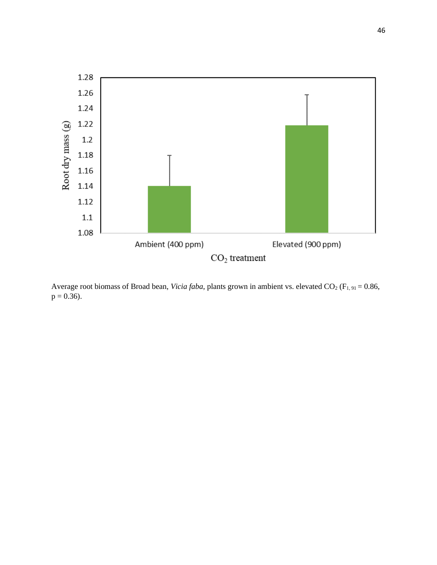

Average root biomass of Broad bean, *Vicia faba*, plants grown in ambient vs. elevated CO<sub>2</sub> (F<sub>1, 91</sub> = 0.86,  $p = 0.36$ .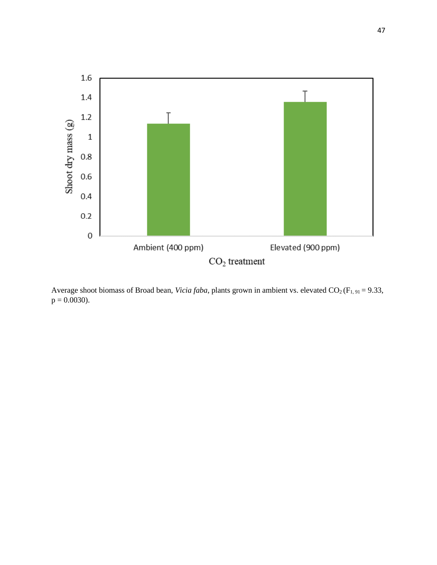

Average shoot biomass of Broad bean, *Vicia faba*, plants grown in ambient vs. elevated CO<sub>2</sub> (F<sub>1, 91</sub> = 9.33,  $p = 0.0030$ .